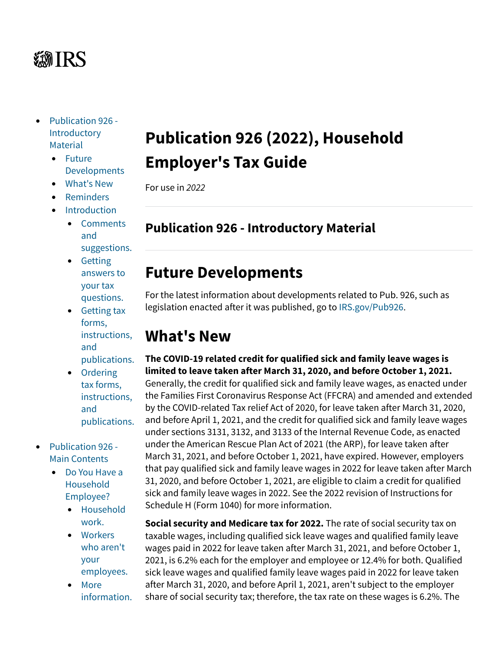# *第TRS*

- [Publication 926 -](https://www.irs.gov/publications/p926#idm140464084859792) **[Introductory](https://www.irs.gov/publications/p926#idm140464084859792) [Material](https://www.irs.gov/publications/p926#idm140464084859792)** 
	- [Future](https://www.irs.gov/publications/p926#en_US_2022_publink1000272644) **[Developments](https://www.irs.gov/publications/p926#en_US_2022_publink1000272644)**
	- [What's New](https://www.irs.gov/publications/p926#en_US_2022_publink100086715)
	- [Reminders](https://www.irs.gov/publications/p926#en_US_2022_publink100086718)
	- [Introduction](https://www.irs.gov/publications/p926#idm140464072697504)
		- [Comments](https://www.irs.gov/publications/p926#en_US_2022_publink100086720) [and](https://www.irs.gov/publications/p926#en_US_2022_publink100086720) [suggestions.](https://www.irs.gov/publications/p926#en_US_2022_publink100086720)
		- [Getting](https://www.irs.gov/publications/p926#en_US_2022_publink100060402) [answers to](https://www.irs.gov/publications/p926#en_US_2022_publink100060402) [your tax](https://www.irs.gov/publications/p926#en_US_2022_publink100060402) [questions.](https://www.irs.gov/publications/p926#en_US_2022_publink100060402)
		- [Getting tax](https://www.irs.gov/publications/p926#en_US_2022_publink100060403) [forms,](https://www.irs.gov/publications/p926#en_US_2022_publink100060403) [instructions,](https://www.irs.gov/publications/p926#en_US_2022_publink100060403) [and](https://www.irs.gov/publications/p926#en_US_2022_publink100060403) [publications.](https://www.irs.gov/publications/p926#en_US_2022_publink100060403)
		- [Ordering](https://www.irs.gov/publications/p926#en_US_2022_publink100049653) [tax forms,](https://www.irs.gov/publications/p926#en_US_2022_publink100049653) [instructions,](https://www.irs.gov/publications/p926#en_US_2022_publink100049653) [and](https://www.irs.gov/publications/p926#en_US_2022_publink100049653) [publications.](https://www.irs.gov/publications/p926#en_US_2022_publink100049653)
- [Publication 926 -](https://www.irs.gov/publications/p926#idm140464072675408) [Main Contents](https://www.irs.gov/publications/p926#idm140464072675408)
	- [Do You Have a](https://www.irs.gov/publications/p926#en_US_2022_publink100086722) [Household](https://www.irs.gov/publications/p926#en_US_2022_publink100086722) [Employee?](https://www.irs.gov/publications/p926#en_US_2022_publink100086722)
		- [Household](https://www.irs.gov/publications/p926#en_US_2022_publink100086724) [work.](https://www.irs.gov/publications/p926#en_US_2022_publink100086724)
		- [Workers](https://www.irs.gov/publications/p926#en_US_2022_publink100086725) [who aren't](https://www.irs.gov/publications/p926#en_US_2022_publink100086725) [your](https://www.irs.gov/publications/p926#en_US_2022_publink100086725) [employees.](https://www.irs.gov/publications/p926#en_US_2022_publink100086725)
		- [More](https://www.irs.gov/publications/p926#en_US_2022_publink100086727) [information.](https://www.irs.gov/publications/p926#en_US_2022_publink100086727)

# **Publication 926 (2022), Household Employer's Tax Guide**

For use in *2022*

## **Publication 926 - Introductory Material**

## **Future Developments**

For the latest information about developments related to Pub. 926, such as legislation enacted after it was published, go to [IRS.gov/Pub926](https://www.irs.gov/pub926).

## **What's New**

**The COVID-19 related credit for qualified sick and family leave wages is limited to leave taken after March 31, 2020, and before October 1, 2021.** Generally, the credit for qualified sick and family leave wages, as enacted under the Families First Coronavirus Response Act (FFCRA) and amended and extended by the COVID-related Tax relief Act of 2020, for leave taken after March 31, 2020, and before April 1, 2021, and the credit for qualified sick and family leave wages under sections 3131, 3132, and 3133 of the Internal Revenue Code, as enacted under the American Rescue Plan Act of 2021 (the ARP), for leave taken after March 31, 2021, and before October 1, 2021, have expired. However, employers that pay qualified sick and family leave wages in 2022 for leave taken after March 31, 2020, and before October 1, 2021, are eligible to claim a credit for qualified sick and family leave wages in 2022. See the 2022 revision of Instructions for Schedule H (Form 1040) for more information.

**Social security and Medicare tax for 2022.** The rate of social security tax on taxable wages, including qualified sick leave wages and qualified family leave wages paid in 2022 for leave taken after March 31, 2021, and before October 1, 2021, is 6.2% each for the employer and employee or 12.4% for both. Qualified sick leave wages and qualified family leave wages paid in 2022 for leave taken after March 31, 2020, and before April 1, 2021, aren't subject to the employer share of social security tax; therefore, the tax rate on these wages is 6.2%. The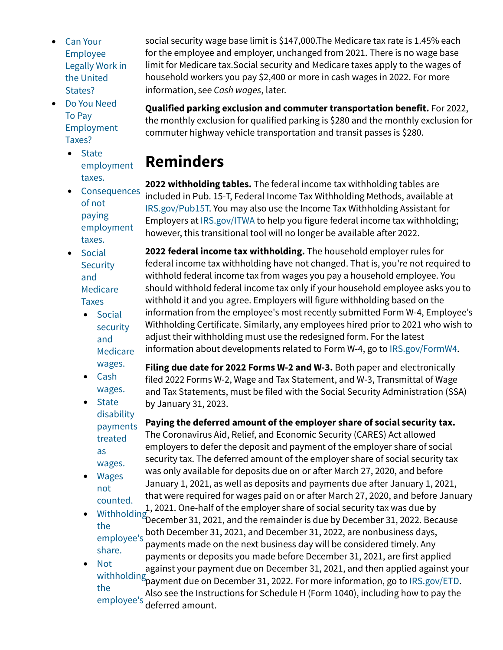- [Can Your](https://www.irs.gov/publications/p926#en_US_2022_publink100086728) [Employee](https://www.irs.gov/publications/p926#en_US_2022_publink100086728) [Legally Work in](https://www.irs.gov/publications/p926#en_US_2022_publink100086728) [the United](https://www.irs.gov/publications/p926#en_US_2022_publink100086728) [States?](https://www.irs.gov/publications/p926#en_US_2022_publink100086728)
- [Do You Need](https://www.irs.gov/publications/p926#idm140464070803968) [To Pay](https://www.irs.gov/publications/p926#idm140464070803968) [Employment](https://www.irs.gov/publications/p926#idm140464070803968) [Taxes?](https://www.irs.gov/publications/p926#idm140464070803968)
	- [State](https://www.irs.gov/publications/p926#en_US_2022_publink100086734) [employment](https://www.irs.gov/publications/p926#en_US_2022_publink100086734) [taxes.](https://www.irs.gov/publications/p926#en_US_2022_publink100086734)
	- [Consequences](https://www.irs.gov/publications/p926#en_US_2022_publink100046670) [of not](https://www.irs.gov/publications/p926#en_US_2022_publink100046670) [paying](https://www.irs.gov/publications/p926#en_US_2022_publink100046670) [employment](https://www.irs.gov/publications/p926#en_US_2022_publink100046670) [taxes.](https://www.irs.gov/publications/p926#en_US_2022_publink100046670)
	- [Social](https://www.irs.gov/publications/p926#en_US_2022_publink100086735) **[Security](https://www.irs.gov/publications/p926#en_US_2022_publink100086735)** [and](https://www.irs.gov/publications/p926#en_US_2022_publink100086735) [Medicare](https://www.irs.gov/publications/p926#en_US_2022_publink100086735) [Taxes](https://www.irs.gov/publications/p926#en_US_2022_publink100086735)
		- [Social](https://www.irs.gov/publications/p926#en_US_2022_publink100086737) [security](https://www.irs.gov/publications/p926#en_US_2022_publink100086737) [and](https://www.irs.gov/publications/p926#en_US_2022_publink100086737) **[Medicare](https://www.irs.gov/publications/p926#en_US_2022_publink100086737)** [wages.](https://www.irs.gov/publications/p926#en_US_2022_publink100086737)

• [Cash](https://www.irs.gov/publications/p926#en_US_2022_publink100086738)

[wages.](https://www.irs.gov/publications/p926#en_US_2022_publink100086738) **Filing due date for 2022 Forms W-2 and W-3.** Both paper and electronically filed 2022 Forms W-2, Wage and Tax Statement, and W-3, Transmittal of Wage and Tax Statements, must be filed with the Social Security Administration (SSA) by January 31, 2023.

• [State](https://www.irs.gov/publications/p926#en_US_2022_publink100086739) [disability](https://www.irs.gov/publications/p926#en_US_2022_publink100086739) [payments](https://www.irs.gov/publications/p926#en_US_2022_publink100086739) [treated](https://www.irs.gov/publications/p926#en_US_2022_publink100086739) [as](https://www.irs.gov/publications/p926#en_US_2022_publink100086739) [wages.](https://www.irs.gov/publications/p926#en_US_2022_publink100086739)

**Paying the deferred amount of the employer share of social security tax.** The Coronavirus Aid, Relief, and Economic Security (CARES) Act allowed employers to defer the deposit and payment of the employer share of social security tax. The deferred amount of the employer share of social security tax was only available for deposits due on or after March 27, 2020, and before

- [Wages](https://www.irs.gov/publications/p926#en_US_2022_publink100086740) [not](https://www.irs.gov/publications/p926#en_US_2022_publink100086740) [counted.](https://www.irs.gov/publications/p926#en_US_2022_publink100086740) January 1, 2021, as well as deposits and payments due after January 1, 2021, that were required for wages paid on or after March 27, 2020, and before January 1, 2021. One-half of the employer share of social security tax was due by
- [Withholding](https://www.irs.gov/publications/p926#en_US_2022_publink100086741) while because [the](https://www.irs.gov/publications/p926#en_US_2022_publink100086741) main of the remainder is due by December 31, 2022. Because the state because the state December 21, 2021, and December 21, 2022, are nanhusiness days [employee's](https://www.irs.gov/publications/p926#en_US_2022_publink100086741) [share.](https://www.irs.gov/publications/p926#en_US_2022_publink100086741) both December 31, 2021, and December 31, 2022, are nonbusiness days, payments made on the next business day will be considered timely. Any
- [Not](https://www.irs.gov/publications/p926#en_US_2022_publink100086743) [withholding](https://www.irs.gov/publications/p926#en_US_2022_publink100086743) payment due on December 31, 2022. For more information, go to [IRS.gov/ETD](https://www.irs.gov/etd). [the](https://www.irs.gov/publications/p926#en_US_2022_publink100086743) [employee's](https://www.irs.gov/publications/p926#en_US_2022_publink100086743) deferred amount.payments or deposits you made before December 31, 2021, are first applied against your payment due on December 31, 2021, and then applied against your Also see the Instructions for Schedule H (Form 1040), including how to pay the

social security wage base limit is \$147,000.The Medicare tax rate is 1.45% each for the employee and employer, unchanged from 2021. There is no wage base limit for Medicare tax.Social security and Medicare taxes apply to the wages of household workers you pay \$2,400 or more in cash wages in 2022. For more information, see *[Cash wages](https://www.irs.gov/publications/p926#en_US_2022_publink100086738)*, later.

**Qualified parking exclusion and commuter transportation benefit.** For 2022, the monthly exclusion for qualified parking is \$280 and the monthly exclusion for commuter highway vehicle transportation and transit passes is \$280.

# **Reminders**

**2022 withholding tables.** The federal income tax withholding tables are included in Pub. 15-T, Federal Income Tax Withholding Methods, available at [IRS.gov/Pub15T](https://www.irs.gov/Pub15T). You may also use the Income Tax Withholding Assistant for Employers at [IRS.gov/ITWA](https://www.irs.gov/itwa) to help you figure federal income tax withholding; however, this transitional tool will no longer be available after 2022.

**2022 federal income tax withholding.** The household employer rules for federal income tax withholding have not changed. That is, you're not required to withhold federal income tax from wages you pay a household employee. You should withhold federal income tax only if your household employee asks you to withhold it and you agree. Employers will figure withholding based on the information from the employee's most recently submitted Form W-4, Employee's Withholding Certificate. Similarly, any employees hired prior to 2021 who wish to adjust their withholding must use the redesigned form. For the latest

information about developments related to Form W-4, go to [IRS.gov/FormW4.](https://www.irs.gov/formw4)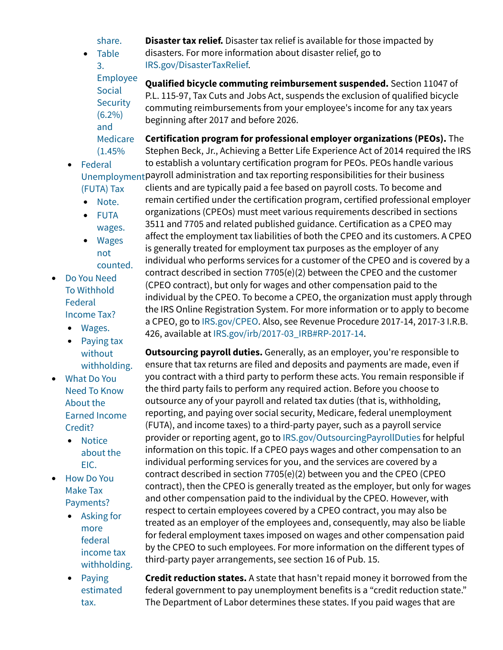[share.](https://www.irs.gov/publications/p926#en_US_2022_publink100086743) • [Table](https://www.irs.gov/publications/p926#en_US_2022_publink100021965)

[3.](https://www.irs.gov/publications/p926#en_US_2022_publink100021965)

**Disaster tax relief.** Disaster tax relief is available for those impacted by

disasters. For more information about disaster relief, go to

[IRS.gov/DisasterTaxRelief](https://www.irs.gov/newsroom/tax-relief-in-disaster-situations).

[Employee](https://www.irs.gov/publications/p926#en_US_2022_publink100021965) [Social](https://www.irs.gov/publications/p926#en_US_2022_publink100021965) **[Security](https://www.irs.gov/publications/p926#en_US_2022_publink100021965)**  $(6.2\%)$ **Qualified bicycle commuting reimbursement suspended.** Section 11047 of P.L. 115-97, Tax Cuts and Jobs Act, suspends the exclusion of qualified bicycle commuting reimbursements from your employee's income for any tax years beginning after 2017 and before 2026.

[Medicare](https://www.irs.gov/publications/p926#en_US_2022_publink100021965) [\(1.45%](https://www.irs.gov/publications/p926#en_US_2022_publink100021965) **Certification program for professional employer organizations (PEOs).** The Stephen Beck, Jr., Achieving a Better Life Experience Act of 2014 required the IRS to establish a voluntary certification program for PEOs. PEOs handle various

- [Federal](https://www.irs.gov/publications/p926#en_US_2022_publink100086745) [Unemployment](https://www.irs.gov/publications/p926#en_US_2022_publink100086745) payroll administration and tax reporting responsibilities for their business [\(FUTA\) Tax](https://www.irs.gov/publications/p926#en_US_2022_publink100086745)
	- [Note.](https://www.irs.gov/publications/p926#en_US_2022_publink1000236749)

[and](https://www.irs.gov/publications/p926#en_US_2022_publink100021965)

- [FUTA](https://www.irs.gov/publications/p926#en_US_2022_publink100086747) [wages.](https://www.irs.gov/publications/p926#en_US_2022_publink100086747)
- [Wages](https://www.irs.gov/publications/p926#en_US_2022_publink100086748) [not](https://www.irs.gov/publications/p926#en_US_2022_publink100086748) [counted.](https://www.irs.gov/publications/p926#en_US_2022_publink100086748)
- [Do You Need](https://www.irs.gov/publications/p926#en_US_2022_publink100086752) [To Withhold](https://www.irs.gov/publications/p926#en_US_2022_publink100086752) [Federal](https://www.irs.gov/publications/p926#en_US_2022_publink100086752) [Income Tax?](https://www.irs.gov/publications/p926#en_US_2022_publink100086752)
	- [Wages.](https://www.irs.gov/publications/p926#en_US_2022_publink100086753)
	- [Paying tax](https://www.irs.gov/publications/p926#en_US_2022_publink100086754) [without](https://www.irs.gov/publications/p926#en_US_2022_publink100086754) [withholding.](https://www.irs.gov/publications/p926#en_US_2022_publink100086754)
- [What Do You](https://www.irs.gov/publications/p926#en_US_2022_publink100086755) [Need To Know](https://www.irs.gov/publications/p926#en_US_2022_publink100086755) [About the](https://www.irs.gov/publications/p926#en_US_2022_publink100086755) [Earned Income](https://www.irs.gov/publications/p926#en_US_2022_publink100086755) [Credit?](https://www.irs.gov/publications/p926#en_US_2022_publink100086755)
	- [Notice](https://www.irs.gov/publications/p926#en_US_2022_publink100086757) [about the](https://www.irs.gov/publications/p926#en_US_2022_publink100086757) [EIC.](https://www.irs.gov/publications/p926#en_US_2022_publink100086757)
- [How Do You](https://www.irs.gov/publications/p926#en_US_2022_publink100086758) [Make Tax](https://www.irs.gov/publications/p926#en_US_2022_publink100086758) [Payments?](https://www.irs.gov/publications/p926#en_US_2022_publink100086758)
	- [Asking for](https://www.irs.gov/publications/p926#en_US_2022_publink100086760) [more](https://www.irs.gov/publications/p926#en_US_2022_publink100086760) [federal](https://www.irs.gov/publications/p926#en_US_2022_publink100086760) [income tax](https://www.irs.gov/publications/p926#en_US_2022_publink100086760) [withholding.](https://www.irs.gov/publications/p926#en_US_2022_publink100086760)
	- [Paying](https://www.irs.gov/publications/p926#en_US_2022_publink100086761) [estimated](https://www.irs.gov/publications/p926#en_US_2022_publink100086761) [tax.](https://www.irs.gov/publications/p926#en_US_2022_publink100086761)

clients and are typically paid a fee based on payroll costs. To become and remain certified under the certification program, certified professional employer organizations (CPEOs) must meet various requirements described in sections 3511 and 7705 and related published guidance. Certification as a CPEO may affect the employment tax liabilities of both the CPEO and its customers. A CPEO is generally treated for employment tax purposes as the employer of any individual who performs services for a customer of the CPEO and is covered by a contract described in section 7705(e)(2) between the CPEO and the customer (CPEO contract), but only for wages and other compensation paid to the individual by the CPEO. To become a CPEO, the organization must apply through the IRS Online Registration System. For more information or to apply to become a CPEO, go to [IRS.gov/CPEO](https://www.irs.gov/cpeo). Also, see Revenue Procedure 2017-14, 2017-3 I.R.B. 426, available at [IRS.gov/irb/2017-03\\_IRB#RP-2017-14.](https://www.irs.gov/irb/2017-03_IRB#RP-2017-14)

**Outsourcing payroll duties.** Generally, as an employer, you're responsible to ensure that tax returns are filed and deposits and payments are made, even if you contract with a third party to perform these acts. You remain responsible if the third party fails to perform any required action. Before you choose to outsource any of your payroll and related tax duties (that is, withholding, reporting, and paying over social security, Medicare, federal unemployment (FUTA), and income taxes) to a third-party payer, such as a payroll service provider or reporting agent, go to [IRS.gov/OutsourcingPayrollDuties](https://www.irs.gov/outsourcingpayrollduties) for helpful information on this topic. If a CPEO pays wages and other compensation to an individual performing services for you, and the services are covered by a contract described in section 7705(e)(2) between you and the CPEO (CPEO contract), then the CPEO is generally treated as the employer, but only for wages and other compensation paid to the individual by the CPEO. However, with respect to certain employees covered by a CPEO contract, you may also be treated as an employer of the employees and, consequently, may also be liable for federal employment taxes imposed on wages and other compensation paid by the CPEO to such employees. For more information on the different types of third-party payer arrangements, see section 16 of Pub. 15.

**Credit reduction states.** A state that hasn't repaid money it borrowed from the federal government to pay unemployment benefits is a "credit reduction state." The Department of Labor determines these states. If you paid wages that are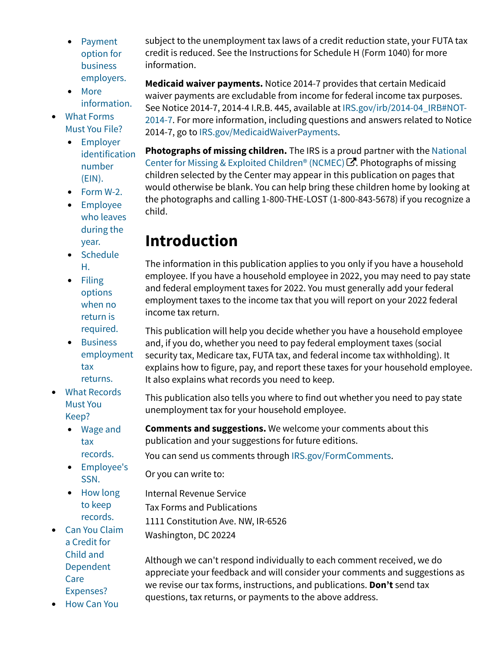- [Payment](https://www.irs.gov/publications/p926#en_US_2022_publink100086762) [option for](https://www.irs.gov/publications/p926#en_US_2022_publink100086762) [business](https://www.irs.gov/publications/p926#en_US_2022_publink100086762) [employers.](https://www.irs.gov/publications/p926#en_US_2022_publink100086762)
- [More](https://www.irs.gov/publications/p926#en_US_2022_publink100086764) [information.](https://www.irs.gov/publications/p926#en_US_2022_publink100086764)
- [What Forms](https://www.irs.gov/publications/p926#en_US_2022_publink100086765) [Must You File?](https://www.irs.gov/publications/p926#en_US_2022_publink100086765)
	- [Employer](https://www.irs.gov/publications/p926#en_US_2022_publink100086766) [identification](https://www.irs.gov/publications/p926#en_US_2022_publink100086766) [number](https://www.irs.gov/publications/p926#en_US_2022_publink100086766) [\(EIN\).](https://www.irs.gov/publications/p926#en_US_2022_publink100086766)
	- [Form W-2.](https://www.irs.gov/publications/p926#en_US_2022_publink100086768)
	- [Employee](https://www.irs.gov/publications/p926#en_US_2022_publink100086769) [who leaves](https://www.irs.gov/publications/p926#en_US_2022_publink100086769) [during the](https://www.irs.gov/publications/p926#en_US_2022_publink100086769) [year.](https://www.irs.gov/publications/p926#en_US_2022_publink100086769)
	- [Schedule](https://www.irs.gov/publications/p926#en_US_2022_publink100086770) [H.](https://www.irs.gov/publications/p926#en_US_2022_publink100086770)
	- [Filing](https://www.irs.gov/publications/p926#en_US_2022_publink100086771) [options](https://www.irs.gov/publications/p926#en_US_2022_publink100086771) [when no](https://www.irs.gov/publications/p926#en_US_2022_publink100086771) [return is](https://www.irs.gov/publications/p926#en_US_2022_publink100086771) [required.](https://www.irs.gov/publications/p926#en_US_2022_publink100086771)
	- [Business](https://www.irs.gov/publications/p926#en_US_2022_publink100086772) [employment](https://www.irs.gov/publications/p926#en_US_2022_publink100086772) [tax](https://www.irs.gov/publications/p926#en_US_2022_publink100086772) [returns.](https://www.irs.gov/publications/p926#en_US_2022_publink100086772)
- [What Records](https://www.irs.gov/publications/p926#en_US_2022_publink100086773) [Must You](https://www.irs.gov/publications/p926#en_US_2022_publink100086773) [Keep?](https://www.irs.gov/publications/p926#en_US_2022_publink100086773)
	- [Wage and](https://www.irs.gov/publications/p926#en_US_2022_publink100086775) [tax](https://www.irs.gov/publications/p926#en_US_2022_publink100086775) [records.](https://www.irs.gov/publications/p926#en_US_2022_publink100086775)
	- [Employee's](https://www.irs.gov/publications/p926#en_US_2022_publink100086776) [SSN.](https://www.irs.gov/publications/p926#en_US_2022_publink100086776)
	- [How long](https://www.irs.gov/publications/p926#en_US_2022_publink100086779) [to keep](https://www.irs.gov/publications/p926#en_US_2022_publink100086779) [records.](https://www.irs.gov/publications/p926#en_US_2022_publink100086779)
- [Can You Claim](https://www.irs.gov/publications/p926#en_US_2022_publink100086780) [a Credit for](https://www.irs.gov/publications/p926#en_US_2022_publink100086780) [Child and](https://www.irs.gov/publications/p926#en_US_2022_publink100086780) [Dependent](https://www.irs.gov/publications/p926#en_US_2022_publink100086780) [Care](https://www.irs.gov/publications/p926#en_US_2022_publink100086780) [Expenses?](https://www.irs.gov/publications/p926#en_US_2022_publink100086780)

subject to the unemployment tax laws of a credit reduction state, your FUTA tax credit is reduced. See the Instructions for Schedule H (Form 1040) for more information.

**Medicaid waiver payments.** Notice 2014-7 provides that certain Medicaid waiver payments are excludable from income for federal income tax purposes. See Notice 2014-7, 2014-4 I.R.B. 445, available at [IRS.gov/irb/2014-04\\_IRB#NOT-](https://www.irs.gov/irb/2014-04_IRB#NOT-2014-7)[2014-7.](https://www.irs.gov/irb/2014-04_IRB#NOT-2014-7) For more information, including questions and answers related to Notice 2014-7, go to [IRS.gov/MedicaidWaiverPayments](https://www.irs.gov/medicaidwaiverpayments).

**Photographs of missing children.** The IRS is a proud partner with the [National](http://www.missingkids.org/) [Center for Missing & Exploited Children® \(NCMEC\)](http://www.missingkids.org/)  $\mathbb{Z}$ . Photographs of missing children selected by the Center may appear in this publication on pages that would otherwise be blank. You can help bring these children home by looking at the photographs and calling 1-800-THE-LOST (1-800-843-5678) if you recognize a child.

## **Introduction**

The information in this publication applies to you only if you have a household employee. If you have a household employee in 2022, you may need to pay state and federal employment taxes for 2022. You must generally add your federal employment taxes to the income tax that you will report on your 2022 federal income tax return.

This publication will help you decide whether you have a household employee and, if you do, whether you need to pay federal employment taxes (social security tax, Medicare tax, FUTA tax, and federal income tax withholding). It explains how to figure, pay, and report these taxes for your household employee. It also explains what records you need to keep.

This publication also tells you where to find out whether you need to pay state unemployment tax for your household employee.

**Comments and suggestions.** We welcome your comments about this publication and your suggestions for future editions.

You can send us comments through [IRS.gov/FormComments](https://www.irs.gov/formcomments).

Or you can write to:

Internal Revenue Service Tax Forms and Publications 1111 Constitution Ave. NW, IR-6526

Washington, DC 20224

Although we can't respond individually to each comment received, we do appreciate your feedback and will consider your comments and suggestions as we revise our tax forms, instructions, and publications. **Don't** send tax questions, tax returns, or payments to the above address.

• [How Can You](https://www.irs.gov/publications/p926#en_US_2022_publink100086781)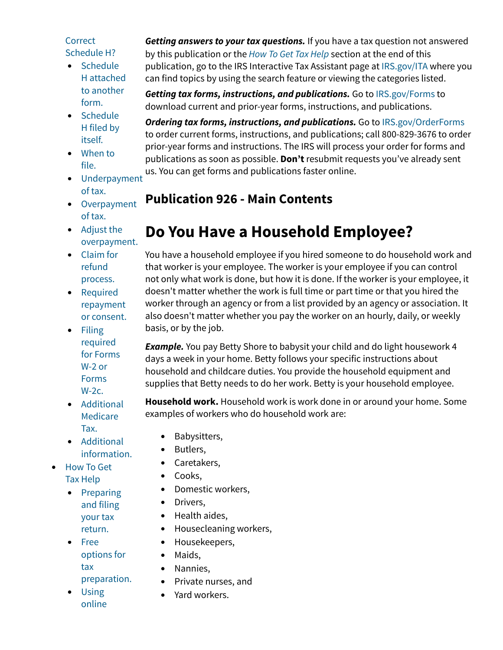#### **[Correct](https://www.irs.gov/publications/p926#en_US_2022_publink100086781)** [Schedule H?](https://www.irs.gov/publications/p926#en_US_2022_publink100086781)

- [Schedule](https://www.irs.gov/publications/p926#en_US_2022_publink1000105085) [H attached](https://www.irs.gov/publications/p926#en_US_2022_publink1000105085) [to another](https://www.irs.gov/publications/p926#en_US_2022_publink1000105085) [form.](https://www.irs.gov/publications/p926#en_US_2022_publink1000105085)
- [Schedule](https://www.irs.gov/publications/p926#en_US_2022_publink1000105086) [H filed by](https://www.irs.gov/publications/p926#en_US_2022_publink1000105086) [itself.](https://www.irs.gov/publications/p926#en_US_2022_publink1000105086)
- [When to](https://www.irs.gov/publications/p926#en_US_2022_publink1000105087) [file.](https://www.irs.gov/publications/p926#en_US_2022_publink1000105087)
- [Underpayment](https://www.irs.gov/publications/p926#en_US_2022_publink1000105088) [of tax.](https://www.irs.gov/publications/p926#en_US_2022_publink1000105088)
- [Overpayment](https://www.irs.gov/publications/p926#en_US_2022_publink1000105089) [of tax.](https://www.irs.gov/publications/p926#en_US_2022_publink1000105089)
- [Adjust the](https://www.irs.gov/publications/p926#en_US_2022_publink1000105090) [overpayment.](https://www.irs.gov/publications/p926#en_US_2022_publink1000105090)
- [Claim for](https://www.irs.gov/publications/p926#en_US_2022_publink1000105091) [refund](https://www.irs.gov/publications/p926#en_US_2022_publink1000105091) [process.](https://www.irs.gov/publications/p926#en_US_2022_publink1000105091)
- [Required](https://www.irs.gov/publications/p926#en_US_2022_publink1000105092) [repayment](https://www.irs.gov/publications/p926#en_US_2022_publink1000105092) [or consent.](https://www.irs.gov/publications/p926#en_US_2022_publink1000105092)
- [Filing](https://www.irs.gov/publications/p926#en_US_2022_publink1000105093) [required](https://www.irs.gov/publications/p926#en_US_2022_publink1000105093) [for Forms](https://www.irs.gov/publications/p926#en_US_2022_publink1000105093) [W-2 or](https://www.irs.gov/publications/p926#en_US_2022_publink1000105093) [Forms](https://www.irs.gov/publications/p926#en_US_2022_publink1000105093)  $W-2c$ .
- [Additional](https://www.irs.gov/publications/p926#en_US_2022_publink10003807) [Medicare](https://www.irs.gov/publications/p926#en_US_2022_publink10003807) [Tax.](https://www.irs.gov/publications/p926#en_US_2022_publink10003807)
- [Additional](https://www.irs.gov/publications/p926#en_US_2022_publink1000105094) [information.](https://www.irs.gov/publications/p926#en_US_2022_publink1000105094)
- [How To Get](https://www.irs.gov/publications/p926#idm140464079578752) [Tax Help](https://www.irs.gov/publications/p926#idm140464079578752)
	- [Preparing](https://www.irs.gov/publications/p926#en_US_2022_publink100091080) [and filing](https://www.irs.gov/publications/p926#en_US_2022_publink100091080) [your tax](https://www.irs.gov/publications/p926#en_US_2022_publink100091080) [return.](https://www.irs.gov/publications/p926#en_US_2022_publink100091080)
	- [Free](https://www.irs.gov/publications/p926#en_US_2022_publink100091082) [options for](https://www.irs.gov/publications/p926#en_US_2022_publink100091082) [tax](https://www.irs.gov/publications/p926#en_US_2022_publink100091082) [preparation.](https://www.irs.gov/publications/p926#en_US_2022_publink100091082)
	- [Using](https://www.irs.gov/publications/p926#en_US_2022_publink100091083) [online](https://www.irs.gov/publications/p926#en_US_2022_publink100091083)

*Getting answers to your tax questions.* If you have a tax question not answered by this publication or the *[How To Get Tax Help](https://www.irs.gov/publications/p926#en_US_2022_publink100091079)* section at the end of this publication, go to the IRS Interactive Tax Assistant page at [IRS.gov/ITA](https://www.irs.gov/help/ita) where you can find topics by using the search feature or viewing the categories listed.

*Getting tax forms, instructions, and publications.* Go to [IRS.gov/Forms](https://www.irs.gov/forms) to download current and prior-year forms, instructions, and publications.

*Ordering tax forms, instructions, and publications.* Go to [IRS.gov/OrderForms](https://www.irs.gov/orderforms) to order current forms, instructions, and publications; call 800-829-3676 to order prior-year forms and instructions. The IRS will process your order for forms and publications as soon as possible. **Don't** resubmit requests you've already sent us. You can get forms and publications faster online.

## **Publication 926 - Main Contents**

# **Do You Have a Household Employee?**

You have a household employee if you hired someone to do household work and that worker is your employee. The worker is your employee if you can control not only what work is done, but how it is done. If the worker is your employee, it doesn't matter whether the work is full time or part time or that you hired the worker through an agency or from a list provided by an agency or association. It also doesn't matter whether you pay the worker on an hourly, daily, or weekly basis, or by the job.

*Example.* You pay Betty Shore to babysit your child and do light housework 4 days a week in your home. Betty follows your specific instructions about household and childcare duties. You provide the household equipment and supplies that Betty needs to do her work. Betty is your household employee.

**Household work.** Household work is work done in or around your home. Some examples of workers who do household work are:

- Babysitters,
- Butlers,
- Caretakers,
- Cooks,
- Domestic workers,
- Drivers,
- Health aides,
- Housecleaning workers,
- Housekeepers,
- Maids,
- Nannies,
- Private nurses, and
- Yard workers.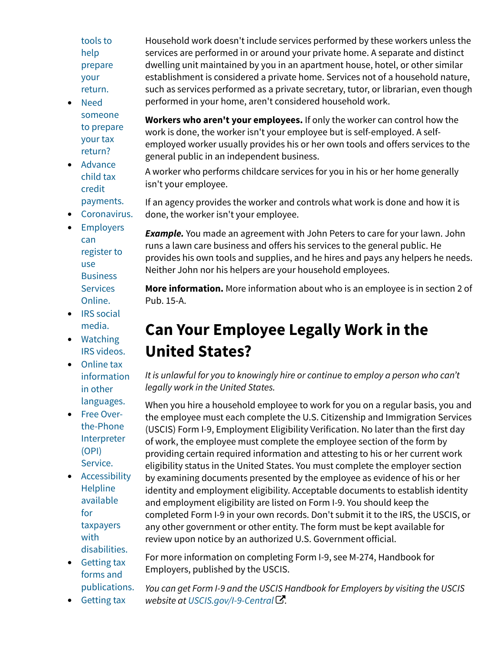[tools to](https://www.irs.gov/publications/p926#en_US_2022_publink100091083) [help](https://www.irs.gov/publications/p926#en_US_2022_publink100091083) [prepare](https://www.irs.gov/publications/p926#en_US_2022_publink100091083) [your](https://www.irs.gov/publications/p926#en_US_2022_publink100091083) [return.](https://www.irs.gov/publications/p926#en_US_2022_publink100091083)

- [Need](https://www.irs.gov/publications/p926#en_US_2022_publink100091085) [someone](https://www.irs.gov/publications/p926#en_US_2022_publink100091085) [to prepare](https://www.irs.gov/publications/p926#en_US_2022_publink100091085) [your tax](https://www.irs.gov/publications/p926#en_US_2022_publink100091085) [return?](https://www.irs.gov/publications/p926#en_US_2022_publink100091085)
- [Advance](https://www.irs.gov/publications/p926#en_US_2022_publink100091086) [child tax](https://www.irs.gov/publications/p926#en_US_2022_publink100091086) [credit](https://www.irs.gov/publications/p926#en_US_2022_publink100091086) [payments.](https://www.irs.gov/publications/p926#en_US_2022_publink100091086)

• [Coronavirus.](https://www.irs.gov/publications/p926#en_US_2022_publink100091087)

- 
- [Employers](https://www.irs.gov/publications/p926#en_US_2022_publink100091088) [can](https://www.irs.gov/publications/p926#en_US_2022_publink100091088) [register to](https://www.irs.gov/publications/p926#en_US_2022_publink100091088) [use](https://www.irs.gov/publications/p926#en_US_2022_publink100091088) **[Business](https://www.irs.gov/publications/p926#en_US_2022_publink100091088) [Services](https://www.irs.gov/publications/p926#en_US_2022_publink100091088)** [Online.](https://www.irs.gov/publications/p926#en_US_2022_publink100091088)
- [IRS social](https://www.irs.gov/publications/p926#en_US_2022_publink100091089) [media.](https://www.irs.gov/publications/p926#en_US_2022_publink100091089)
- [Watching](https://www.irs.gov/publications/p926#en_US_2022_publink100091090) [IRS videos.](https://www.irs.gov/publications/p926#en_US_2022_publink100091090)
- [Online tax](https://www.irs.gov/publications/p926#en_US_2022_publink100091091) [information](https://www.irs.gov/publications/p926#en_US_2022_publink100091091) [in other](https://www.irs.gov/publications/p926#en_US_2022_publink100091091) [languages.](https://www.irs.gov/publications/p926#en_US_2022_publink100091091)
- [Free Over](https://www.irs.gov/publications/p926#en_US_2022_publink100091092)[the-Phone](https://www.irs.gov/publications/p926#en_US_2022_publink100091092) [Interpreter](https://www.irs.gov/publications/p926#en_US_2022_publink100091092) [\(OPI\)](https://www.irs.gov/publications/p926#en_US_2022_publink100091092) [Service.](https://www.irs.gov/publications/p926#en_US_2022_publink100091092)
- [Accessibility](https://www.irs.gov/publications/p926#en_US_2022_publink100091093) **[Helpline](https://www.irs.gov/publications/p926#en_US_2022_publink100091093)** [available](https://www.irs.gov/publications/p926#en_US_2022_publink100091093) [for](https://www.irs.gov/publications/p926#en_US_2022_publink100091093) [taxpayers](https://www.irs.gov/publications/p926#en_US_2022_publink100091093) [with](https://www.irs.gov/publications/p926#en_US_2022_publink100091093) [disabilities.](https://www.irs.gov/publications/p926#en_US_2022_publink100091093)
- [Getting tax](https://www.irs.gov/publications/p926#en_US_2022_publink100091094) [forms and](https://www.irs.gov/publications/p926#en_US_2022_publink100091094) [publications.](https://www.irs.gov/publications/p926#en_US_2022_publink100091094)

• [Getting tax](https://www.irs.gov/publications/p926#en_US_2022_publink100091095)

For more information on completing Form I-9, see M-274, Handbook for Employers, published by the USCIS.

*You can get Form I-9 and the USCIS Handbook for Employers by visiting the USCIS website at [USCIS.gov/I-9-Central](https://www.uscis.gov/i-9-central)* [!](https://www.uscis.gov/i-9-central)*.*

Household work doesn't include services performed by these workers unless the services are performed in or around your private home. A separate and distinct dwelling unit maintained by you in an apartment house, hotel, or other similar establishment is considered a private home. Services not of a household nature, such as services performed as a private secretary, tutor, or librarian, even though performed in your home, aren't considered household work.

**Workers who aren't your employees.** If only the worker can control how the work is done, the worker isn't your employee but is self-employed. A selfemployed worker usually provides his or her own tools and offers services to the general public in an independent business.

A worker who performs childcare services for you in his or her home generally isn't your employee.

If an agency provides the worker and controls what work is done and how it is done, the worker isn't your employee.

*Example.* You made an agreement with John Peters to care for your lawn. John runs a lawn care business and offers his services to the general public. He provides his own tools and supplies, and he hires and pays any helpers he needs. Neither John nor his helpers are your household employees.

**More information.** More information about who is an employee is in section 2 of Pub. 15-A.

## **Can Your Employee Legally Work in the United States?**

*It is unlawful for you to knowingly hire or continue to employ a person who can't legally work in the United States.*

When you hire a household employee to work for you on a regular basis, you and the employee must each complete the U.S. Citizenship and Immigration Services (USCIS) Form I-9, Employment Eligibility Verification. No later than the first day of work, the employee must complete the employee section of the form by providing certain required information and attesting to his or her current work eligibility status in the United States. You must complete the employer section by examining documents presented by the employee as evidence of his or her identity and employment eligibility. Acceptable documents to establish identity and employment eligibility are listed on Form I-9. You should keep the completed Form I-9 in your own records. Don't submit it to the IRS, the USCIS, or any other government or other entity. The form must be kept available for review upon notice by an authorized U.S. Government official.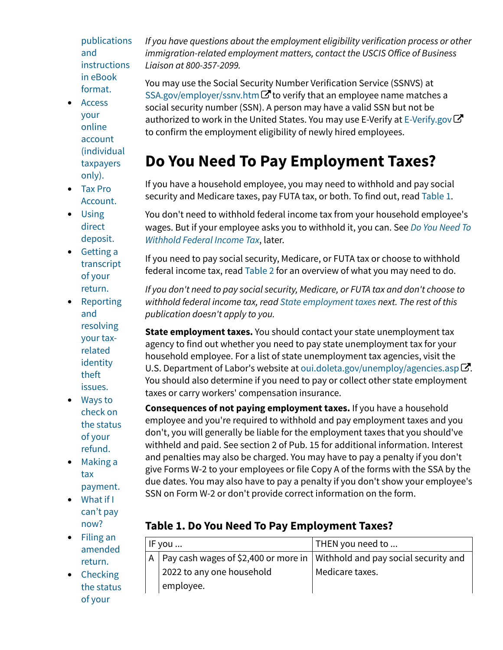[publications](https://www.irs.gov/publications/p926#en_US_2022_publink100091095) [and](https://www.irs.gov/publications/p926#en_US_2022_publink100091095) [instructions](https://www.irs.gov/publications/p926#en_US_2022_publink100091095) [in eBook](https://www.irs.gov/publications/p926#en_US_2022_publink100091095) [format.](https://www.irs.gov/publications/p926#en_US_2022_publink100091095)

- [Access](https://www.irs.gov/publications/p926#en_US_2022_publink100091097) [your](https://www.irs.gov/publications/p926#en_US_2022_publink100091097) [online](https://www.irs.gov/publications/p926#en_US_2022_publink100091097) [account](https://www.irs.gov/publications/p926#en_US_2022_publink100091097) [\(individual](https://www.irs.gov/publications/p926#en_US_2022_publink100091097) [taxpayers](https://www.irs.gov/publications/p926#en_US_2022_publink100091097) [only\).](https://www.irs.gov/publications/p926#en_US_2022_publink100091097)
- [Tax Pro](https://www.irs.gov/publications/p926#en_US_2022_publink100091098) [Account.](https://www.irs.gov/publications/p926#en_US_2022_publink100091098)
- [Using](https://www.irs.gov/publications/p926#en_US_2022_publink100091099) [direct](https://www.irs.gov/publications/p926#en_US_2022_publink100091099) [deposit.](https://www.irs.gov/publications/p926#en_US_2022_publink100091099)
- [Getting a](https://www.irs.gov/publications/p926#en_US_2022_publink100091100) [transcript](https://www.irs.gov/publications/p926#en_US_2022_publink100091100) [of your](https://www.irs.gov/publications/p926#en_US_2022_publink100091100) [return.](https://www.irs.gov/publications/p926#en_US_2022_publink100091100)
- **[Reporting](https://www.irs.gov/publications/p926#en_US_2022_publink100091101)** [and](https://www.irs.gov/publications/p926#en_US_2022_publink100091101) [resolving](https://www.irs.gov/publications/p926#en_US_2022_publink100091101) [your tax](https://www.irs.gov/publications/p926#en_US_2022_publink100091101)[related](https://www.irs.gov/publications/p926#en_US_2022_publink100091101) [identity](https://www.irs.gov/publications/p926#en_US_2022_publink100091101) [theft](https://www.irs.gov/publications/p926#en_US_2022_publink100091101) [issues.](https://www.irs.gov/publications/p926#en_US_2022_publink100091101)
- [Ways to](https://www.irs.gov/publications/p926#en_US_2022_publink100091102) [check on](https://www.irs.gov/publications/p926#en_US_2022_publink100091102) [the status](https://www.irs.gov/publications/p926#en_US_2022_publink100091102) [of your](https://www.irs.gov/publications/p926#en_US_2022_publink100091102) [refund.](https://www.irs.gov/publications/p926#en_US_2022_publink100091102)
- [Making a](https://www.irs.gov/publications/p926#en_US_2022_publink100091104) [tax](https://www.irs.gov/publications/p926#en_US_2022_publink100091104) [payment.](https://www.irs.gov/publications/p926#en_US_2022_publink100091104)
- [What if I](https://www.irs.gov/publications/p926#en_US_2022_publink100091106) [can't pay](https://www.irs.gov/publications/p926#en_US_2022_publink100091106) [now?](https://www.irs.gov/publications/p926#en_US_2022_publink100091106)
- [Filing an](https://www.irs.gov/publications/p926#en_US_2022_publink100091107) [amended](https://www.irs.gov/publications/p926#en_US_2022_publink100091107) [return.](https://www.irs.gov/publications/p926#en_US_2022_publink100091107)
- [Checking](https://www.irs.gov/publications/p926#en_US_2022_publink100091108) [the status](https://www.irs.gov/publications/p926#en_US_2022_publink100091108) [of your](https://www.irs.gov/publications/p926#en_US_2022_publink100091108)

*If you have questions about the employment eligibility verification process or other immigration-related employment matters, contact the USCIS O*f*ice of Business Liaison at 800-357-2099.*

You may use the Social Security Number Verification Service (SSNVS) at [SSA.gov/employer/ssnv.htm](https://www.ssa.gov/employer/ssnv.htm) $G$  to verify that an employee name matches a social security number (SSN). A person may have a valid SSN but not be authorized to work in the United States. You may use E-Verify at [E-Verify.gov](https://www.e-verify.gov/) $\bm{\mathcal{C}}$ to confirm the employment eligibility of newly hired employees.

# **Do You Need To Pay Employment Taxes?**

If you have a household employee, you may need to withhold and pay social security and Medicare taxes, pay FUTA tax, or both. To find out, read [Table 1.](https://www.irs.gov/publications/p926#en_US_2022_publink100046623)

You don't need to withhold federal income tax from your household employee's wages. But if your employee asks you to withhold it, you can. See *[Do You Need To](https://www.irs.gov/publications/p926#en_US_2022_publink100086752) [Withhold Federal Income Tax](https://www.irs.gov/publications/p926#en_US_2022_publink100086752)*, later.

If you need to pay social security, Medicare, or FUTA tax or choose to withhold federal income tax, read [Table 2](https://www.irs.gov/publications/p926#en_US_2022_publink100046624) for an overview of what you may need to do.

*If you don't need to pay social security, Medicare, or FUTA tax and don't choose to withhold federal income tax, read [State employment taxes](https://www.irs.gov/publications/p926#en_US_2022_publink100086734) next. The rest of this publication doesn't apply to you.*

**State employment taxes.** You should contact your state unemployment tax agency to find out whether you need to pay state unemployment tax for your household employee. For a list of state unemployment tax agencies, visit the U.S.Department of Labor's website at oui.doleta.gov/unemploy/agencies.asp $\boxtimes$ . You should also determine if you need to pay or collect other state employment taxes or carry workers' compensation insurance.

**Consequences of not paying employment taxes.** If you have a household employee and you're required to withhold and pay employment taxes and you don't, you will generally be liable for the employment taxes that you should've withheld and paid. See section 2 of Pub. 15 for additional information. Interest and penalties may also be charged. You may have to pay a penalty if you don't give Forms W-2 to your employees or file Copy A of the forms with the SSA by the due dates. You may also have to pay a penalty if you don't show your employee's SSN on Form W-2 or don't provide correct information on the form.

## **Table 1. Do You Need To Pay Employment Taxes?**

| $\mathsf{IF}$ you $\mathsf{}$ | THEN you need to                                                                                    |  |  |
|-------------------------------|-----------------------------------------------------------------------------------------------------|--|--|
|                               | $\vert$ A $\vert$ Pay cash wages of \$2,400 or more in $\vert$ Withhold and pay social security and |  |  |
| 2022 to any one household     | Medicare taxes.                                                                                     |  |  |
| employee.                     |                                                                                                     |  |  |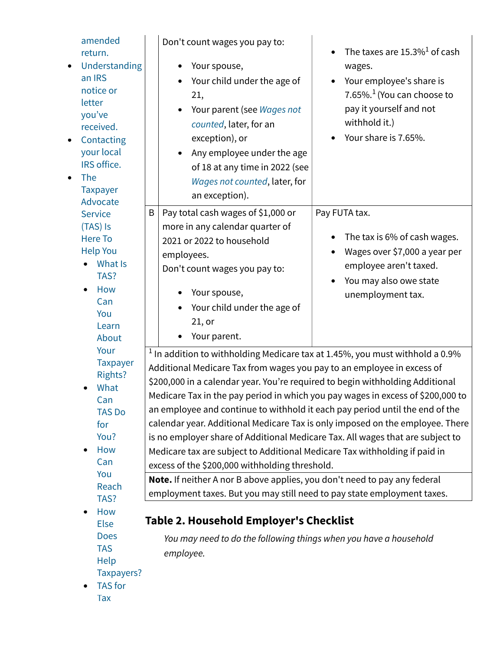| amended<br>return.<br>Understanding<br>$\bullet$<br>an IRS<br>notice or<br>letter<br>you've<br>received.<br>Contacting<br>$\bullet$<br>your local<br>IRS office.<br><b>The</b><br>$\bullet$<br><b>Taxpayer</b><br>Advocate |                                                                                                                                                                                                                                                                                                 | Don't count wages you pay to:<br>Your spouse,<br>Your child under the age of<br>21,<br>Your parent (see Wages not<br>$\bullet$<br>counted, later, for an<br>exception), or<br>Any employee under the age<br>of 18 at any time in 2022 (see<br>Wages not counted, later, for<br>an exception).                                                                                                                                     | The taxes are $15.3\%$ <sup>1</sup> of cash<br>wages.<br>Your employee's share is<br>7.65%. <sup>1</sup> (You can choose to<br>pay it yourself and not<br>withhold it.)<br>Your share is 7.65%.                           |  |  |
|----------------------------------------------------------------------------------------------------------------------------------------------------------------------------------------------------------------------------|-------------------------------------------------------------------------------------------------------------------------------------------------------------------------------------------------------------------------------------------------------------------------------------------------|-----------------------------------------------------------------------------------------------------------------------------------------------------------------------------------------------------------------------------------------------------------------------------------------------------------------------------------------------------------------------------------------------------------------------------------|---------------------------------------------------------------------------------------------------------------------------------------------------------------------------------------------------------------------------|--|--|
| <b>Service</b>                                                                                                                                                                                                             | B                                                                                                                                                                                                                                                                                               | Pay total cash wages of \$1,000 or                                                                                                                                                                                                                                                                                                                                                                                                | Pay FUTA tax.                                                                                                                                                                                                             |  |  |
| (TAS) Is<br><b>Here To</b><br><b>Help You</b><br>What Is<br>TAS?<br>How<br>Can<br>You<br>Learn<br>About<br>Your<br><b>Taxpayer</b><br><b>Rights?</b><br>What                                                               |                                                                                                                                                                                                                                                                                                 | more in any calendar quarter of<br>2021 or 2022 to household<br>employees.<br>Don't count wages you pay to:<br>Your spouse,<br>Your child under the age of<br>21, or<br>Your parent.<br>$1$ In addition to withholding Medicare tax at 1.45%, you must withhold a 0.9%<br>Additional Medicare Tax from wages you pay to an employee in excess of<br>\$200,000 in a calendar year. You're required to begin withholding Additional | The tax is 6% of cash wages.<br>Wages over \$7,000 a year per<br>employee aren't taxed.<br>You may also owe state<br>unemployment tax.<br>Medicare Tax in the pay period in which you pay wages in excess of \$200,000 to |  |  |
| Can<br><b>TAS Do</b>                                                                                                                                                                                                       |                                                                                                                                                                                                                                                                                                 | an employee and continue to withhold it each pay period until the end of the                                                                                                                                                                                                                                                                                                                                                      |                                                                                                                                                                                                                           |  |  |
| for<br>You?<br>How<br>Can                                                                                                                                                                                                  | calendar year. Additional Medicare Tax is only imposed on the employee. There<br>is no employer share of Additional Medicare Tax. All wages that are subject to<br>Medicare tax are subject to Additional Medicare Tax withholding if paid in<br>excess of the \$200,000 withholding threshold. |                                                                                                                                                                                                                                                                                                                                                                                                                                   |                                                                                                                                                                                                                           |  |  |
| You<br>Reach                                                                                                                                                                                                               |                                                                                                                                                                                                                                                                                                 | Note. If neither A nor B above applies, you don't need to pay any federal                                                                                                                                                                                                                                                                                                                                                         |                                                                                                                                                                                                                           |  |  |
| TAS?                                                                                                                                                                                                                       |                                                                                                                                                                                                                                                                                                 | employment taxes. But you may still need to pay state employment taxes.                                                                                                                                                                                                                                                                                                                                                           |                                                                                                                                                                                                                           |  |  |
| How<br><b>Else</b>                                                                                                                                                                                                         | Table 2. Household Employer's Checklist                                                                                                                                                                                                                                                         |                                                                                                                                                                                                                                                                                                                                                                                                                                   |                                                                                                                                                                                                                           |  |  |
| <b>Does</b><br><b>TAS</b><br>Help<br>Taxpayers?<br><b>TAS</b> for                                                                                                                                                          |                                                                                                                                                                                                                                                                                                 | You may need to do the following things when you have a household<br>employee.                                                                                                                                                                                                                                                                                                                                                    |                                                                                                                                                                                                                           |  |  |
| Tax                                                                                                                                                                                                                        |                                                                                                                                                                                                                                                                                                 |                                                                                                                                                                                                                                                                                                                                                                                                                                   |                                                                                                                                                                                                                           |  |  |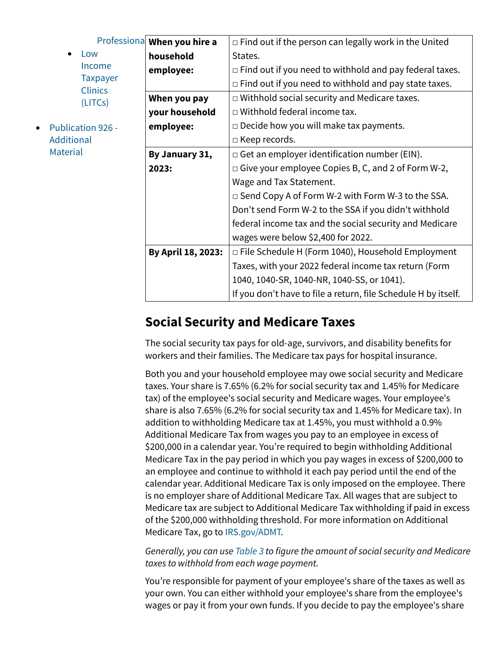| $\bullet$ | Low             |
|-----------|-----------------|
|           | Income          |
|           | <b>Taxpayer</b> |
|           | Clinics         |
|           | (LITCs)         |
|           |                 |

• [Publication 926 -](https://www.irs.gov/publications/p926#idm140464073143696) **[Additional](https://www.irs.gov/publications/p926#idm140464073143696) [Material](https://www.irs.gov/publications/p926#idm140464073143696)** 

|               | Professiona When you hire a | $\Box$ Find out if the person can legally work in the United   |  |  |
|---------------|-----------------------------|----------------------------------------------------------------|--|--|
|               | household                   | States.                                                        |  |  |
| <sub>me</sub> | employee:                   | $\Box$ Find out if you need to withhold and pay federal taxes. |  |  |
| bayer<br>ics  |                             | $\Box$ Find out if you need to withhold and pay state taxes.   |  |  |
| Cs)           | When you pay                | $\Box$ Withhold social security and Medicare taxes.            |  |  |
|               | your household              | $\Box$ Withhold federal income tax.                            |  |  |
| $926 -$       | employee:                   | $\Box$ Decide how you will make tax payments.                  |  |  |
|               |                             | $\Box$ Keep records.                                           |  |  |
|               | By January 31,              | $\Box$ Get an employer identification number (EIN).            |  |  |
|               | 2023:                       | $\Box$ Give your employee Copies B, C, and 2 of Form W-2,      |  |  |
|               |                             | Wage and Tax Statement.                                        |  |  |
|               |                             | $\Box$ Send Copy A of Form W-2 with Form W-3 to the SSA.       |  |  |
|               |                             | Don't send Form W-2 to the SSA if you didn't withhold          |  |  |
|               |                             | federal income tax and the social security and Medicare        |  |  |
|               |                             | wages were below \$2,400 for 2022.                             |  |  |
|               | By April 18, 2023:          | $\Box$ File Schedule H (Form 1040), Household Employment       |  |  |
|               |                             | Taxes, with your 2022 federal income tax return (Form          |  |  |
|               |                             | 1040, 1040-SR, 1040-NR, 1040-SS, or 1041).                     |  |  |
|               |                             | If you don't have to file a return, file Schedule H by itself. |  |  |

## **Social Security and Medicare Taxes**

The social security tax pays for old-age, survivors, and disability benefits for workers and their families. The Medicare tax pays for hospital insurance.

Both you and your household employee may owe social security and Medicare taxes. Your share is 7.65% (6.2% for social security tax and 1.45% for Medicare tax) of the employee's social security and Medicare wages. Your employee's share is also 7.65% (6.2% for social security tax and 1.45% for Medicare tax). In addition to withholding Medicare tax at 1.45%, you must withhold a 0.9% Additional Medicare Tax from wages you pay to an employee in excess of \$200,000 in a calendar year. You're required to begin withholding Additional Medicare Tax in the pay period in which you pay wages in excess of \$200,000 to an employee and continue to withhold it each pay period until the end of the calendar year. Additional Medicare Tax is only imposed on the employee. There is no employer share of Additional Medicare Tax. All wages that are subject to Medicare tax are subject to Additional Medicare Tax withholding if paid in excess of the \$200,000 withholding threshold. For more information on Additional Medicare Tax, go to [IRS.gov/ADMT.](https://www.irs.gov/admt)

*Generally, you can use [Table 3](https://www.irs.gov/publications/p926#en_US_2022_publink100021965) to figure the amount of social security and Medicare taxes to withhold from each wage payment.*

You're responsible for payment of your employee's share of the taxes as well as your own. You can either withhold your employee's share from the employee's wages or pay it from your own funds. If you decide to pay the employee's share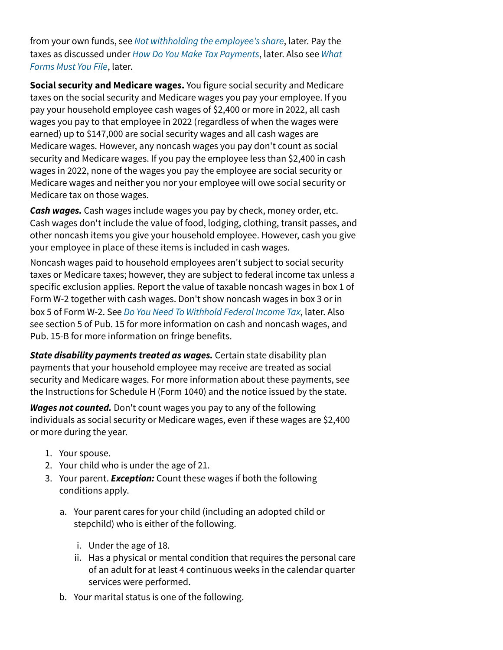from your own funds, see *[Not withholding the employee's share](https://www.irs.gov/publications/p926#en_US_2022_publink100086743)*, later. Pay the taxes as discussed under *[How Do You Make Tax Payments](https://www.irs.gov/publications/p926#en_US_2022_publink100086758)*, later. Also see *[What](https://www.irs.gov/publications/p926#en_US_2022_publink100086765) [Forms Must You File](https://www.irs.gov/publications/p926#en_US_2022_publink100086765)*, later.

**Social security and Medicare wages.** You figure social security and Medicare taxes on the social security and Medicare wages you pay your employee. If you pay your household employee cash wages of \$2,400 or more in 2022, all cash wages you pay to that employee in 2022 (regardless of when the wages were earned) up to \$147,000 are social security wages and all cash wages are Medicare wages. However, any noncash wages you pay don't count as social security and Medicare wages. If you pay the employee less than \$2,400 in cash wages in 2022, none of the wages you pay the employee are social security or Medicare wages and neither you nor your employee will owe social security or Medicare tax on those wages.

*Cash wages.* Cash wages include wages you pay by check, money order, etc. Cash wages don't include the value of food, lodging, clothing, transit passes, and other noncash items you give your household employee. However, cash you give your employee in place of these items is included in cash wages.

Noncash wages paid to household employees aren't subject to social security taxes or Medicare taxes; however, they are subject to federal income tax unless a specific exclusion applies. Report the value of taxable noncash wages in box 1 of Form W-2 together with cash wages. Don't show noncash wages in box 3 or in box 5 of Form W-2. See *[Do You Need To Withhold Federal Income Tax](https://www.irs.gov/publications/p926#en_US_2022_publink100086752)*, later. Also see section 5 of Pub. 15 for more information on cash and noncash wages, and Pub. 15-B for more information on fringe benefits.

*State disability payments treated as wages.* Certain state disability plan payments that your household employee may receive are treated as social security and Medicare wages. For more information about these payments, see the Instructions for Schedule H (Form 1040) and the notice issued by the state.

*Wages not counted.* Don't count wages you pay to any of the following individuals as social security or Medicare wages, even if these wages are \$2,400 or more during the year.

- 1. Your spouse.
- 2. Your child who is under the age of 21.
- 3. Your parent. *Exception:* Count these wages if both the following conditions apply.
	- a. Your parent cares for your child (including an adopted child or stepchild) who is either of the following.
		- i. Under the age of 18.
		- ii. Has a physical or mental condition that requires the personal care of an adult for at least 4 continuous weeks in the calendar quarter services were performed.
	- b. Your marital status is one of the following.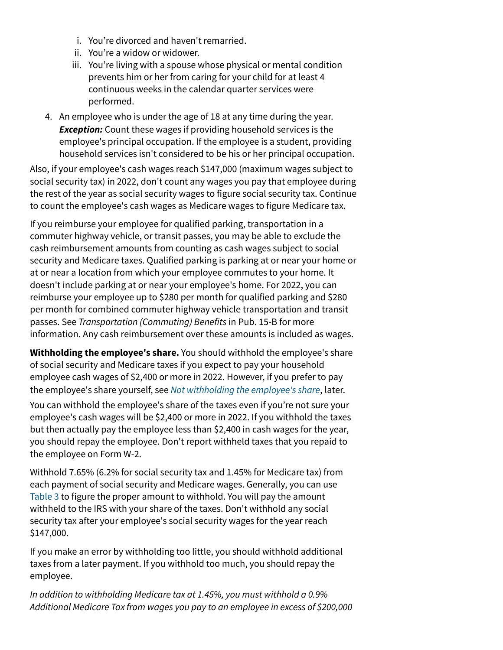- i. You're divorced and haven't remarried.
- ii. You're a widow or widower.
- iii. You're living with a spouse whose physical or mental condition prevents him or her from caring for your child for at least 4 continuous weeks in the calendar quarter services were performed.
- 4. An employee who is under the age of 18 at any time during the year. *Exception:* Count these wages if providing household services is the employee's principal occupation. If the employee is a student, providing household services isn't considered to be his or her principal occupation.

Also, if your employee's cash wages reach \$147,000 (maximum wages subject to social security tax) in 2022, don't count any wages you pay that employee during the rest of the year as social security wages to figure social security tax. Continue to count the employee's cash wages as Medicare wages to figure Medicare tax.

If you reimburse your employee for qualified parking, transportation in a commuter highway vehicle, or transit passes, you may be able to exclude the cash reimbursement amounts from counting as cash wages subject to social security and Medicare taxes. Qualified parking is parking at or near your home or at or near a location from which your employee commutes to your home. It doesn't include parking at or near your employee's home. For 2022, you can reimburse your employee up to \$280 per month for qualified parking and \$280 per month for combined commuter highway vehicle transportation and transit passes. See *Transportation (Commuting) Benefits* in Pub. 15-B for more information. Any cash reimbursement over these amounts is included as wages.

**Withholding the employee's share.** You should withhold the employee's share of social security and Medicare taxes if you expect to pay your household employee cash wages of \$2,400 or more in 2022. However, if you prefer to pay the employee's share yourself, see *[Not withholding the employee's share](https://www.irs.gov/publications/p926#en_US_2022_publink100086743)*, later.

You can withhold the employee's share of the taxes even if you're not sure your employee's cash wages will be \$2,400 or more in 2022. If you withhold the taxes but then actually pay the employee less than \$2,400 in cash wages for the year, you should repay the employee. Don't report withheld taxes that you repaid to the employee on Form W-2.

Withhold 7.65% (6.2% for social security tax and 1.45% for Medicare tax) from each payment of social security and Medicare wages. Generally, you can use [Table 3](https://www.irs.gov/publications/p926#en_US_2022_publink100021965) to figure the proper amount to withhold. You will pay the amount withheld to the IRS with your share of the taxes. Don't withhold any social security tax after your employee's social security wages for the year reach \$147,000.

If you make an error by withholding too little, you should withhold additional taxes from a later payment. If you withhold too much, you should repay the employee.

*In addition to withholding Medicare tax at 1.45%, you must withhold a 0.9% Additional Medicare Tax from wages you pay to an employee in excess of \$200,000*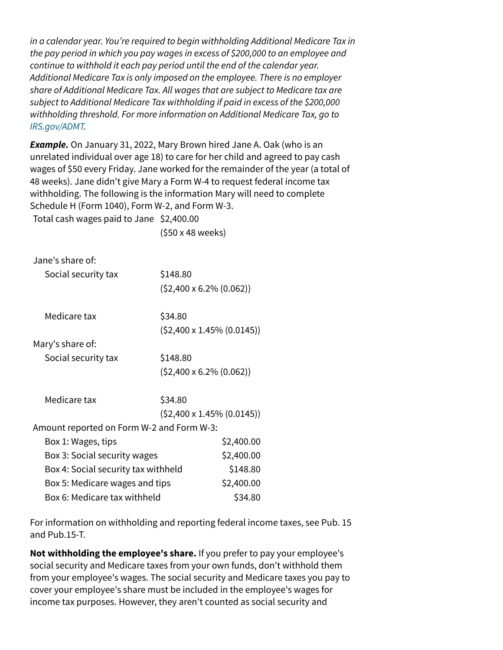*in a calendar year. You're required to begin withholding Additional Medicare Tax in the pay period in which you pay wages in excess of \$200,000 to an employee and continue to withhold it each pay period until the end of the calendar year. Additional Medicare Tax is only imposed on the employee. There is no employer share of Additional Medicare Tax. All wages that are subject to Medicare tax are subject to Additional Medicare Tax withholding if paid in excess of the \$200,000 withholding threshold. For more information on Additional Medicare Tax, go to [IRS.gov/ADMT.](https://www.irs.gov/admt)*

*Example.* On January 31, 2022, Mary Brown hired Jane A. Oak (who is an unrelated individual over age 18) to care for her child and agreed to pay cash wages of \$50 every Friday. Jane worked for the remainder of the year (a total of 48 weeks). Jane didn't give Mary a Form W-4 to request federal income tax withholding. The following is the information Mary will need to complete Schedule H (Form 1040), Form W-2, and Form W-3. Total cash wages paid to Jane \$2,400.00

(\$50 x 48 weeks)

| Jane's share of:                          |                                   |  |  |  |
|-------------------------------------------|-----------------------------------|--|--|--|
| Social security tax                       | \$148.80                          |  |  |  |
|                                           | $(52,400 \times 6.2\% (0.062))$   |  |  |  |
| Medicare tax                              | \$34.80                           |  |  |  |
|                                           | $(52,400 \times 1.45\% (0.0145))$ |  |  |  |
| Mary's share of:                          |                                   |  |  |  |
| Social security tax                       | \$148.80                          |  |  |  |
|                                           | $(52,400 \times 6.2\% (0.062))$   |  |  |  |
| Medicare tax                              | \$34.80                           |  |  |  |
|                                           | $(52,400 \times 1.45\% (0.0145))$ |  |  |  |
| Amount reported on Form W-2 and Form W-3: |                                   |  |  |  |
| Box 1: Wages, tips                        | \$2,400.00                        |  |  |  |
| Box 3: Social security wages              | \$2,400.00                        |  |  |  |
| Box 4: Social security tax withheld       | \$148.80                          |  |  |  |
| Box 5: Medicare wages and tips            | \$2,400.00                        |  |  |  |
| Box 6: Medicare tax withheld              | \$34.80                           |  |  |  |

For information on withholding and reporting federal income taxes, see Pub. 15 and Pub.15-T.

**Not withholding the employee's share.** If you prefer to pay your employee's social security and Medicare taxes from your own funds, don't withhold them from your employee's wages. The social security and Medicare taxes you pay to cover your employee's share must be included in the employee's wages for income tax purposes. However, they aren't counted as social security and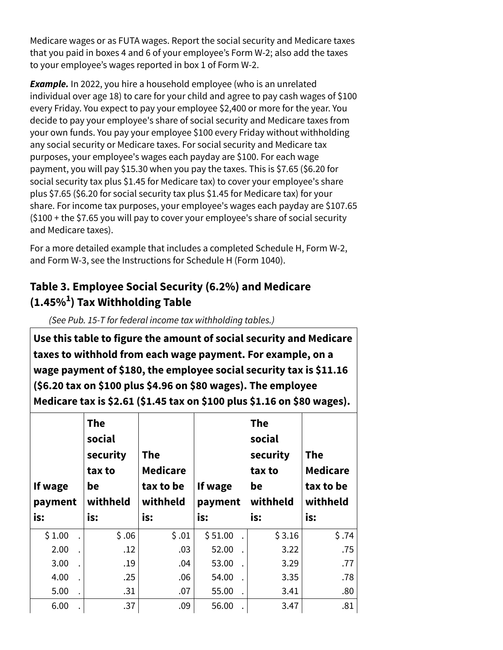Medicare wages or as FUTA wages. Report the social security and Medicare taxes that you paid in boxes 4 and 6 of your employee's Form W-2; also add the taxes to your employee's wages reported in box 1 of Form W-2.

*Example.* In 2022, you hire a household employee (who is an unrelated individual over age 18) to care for your child and agree to pay cash wages of \$100 every Friday. You expect to pay your employee \$2,400 or more for the year. You decide to pay your employee's share of social security and Medicare taxes from your own funds. You pay your employee \$100 every Friday without withholding any social security or Medicare taxes. For social security and Medicare tax purposes, your employee's wages each payday are \$100. For each wage payment, you will pay \$15.30 when you pay the taxes. This is \$7.65 (\$6.20 for social security tax plus \$1.45 for Medicare tax) to cover your employee's share plus \$7.65 (\$6.20 for social security tax plus \$1.45 for Medicare tax) for your share. For income tax purposes, your employee's wages each payday are \$107.65 (\$100 + the \$7.65 you will pay to cover your employee's share of social security and Medicare taxes).

For a more detailed example that includes a completed Schedule H, Form W-2, and Form W-3, see the Instructions for Schedule H (Form 1040).

## **Table 3. Employee Social Security (6.2%) and Medicare (1.45% ) Tax Withholding Table 1**

*(See Pub. 15-T for federal income tax withholding tables.)*

**Use this table to figure the amount of social security and Medicare taxes to withhold from each wage payment. For example, on a wage payment of \$180, the employee social security tax is \$11.16 (\$6.20 tax on \$100 plus \$4.96 on \$80 wages). The employee Medicare tax is \$2.61 (\$1.45 tax on \$100 plus \$1.16 on \$80 wages).**

| If wage<br>payment<br>is: | <b>The</b><br>social<br>security<br>tax to<br>be<br>withheld<br>is: | <b>The</b><br><b>Medicare</b><br>tax to be<br>withheld<br>is: | If wage<br>payment<br>is: | <b>The</b><br>social<br>security<br>tax to<br>be<br>withheld<br>is: | <b>The</b><br><b>Medicare</b><br>tax to be<br>withheld<br>is: |
|---------------------------|---------------------------------------------------------------------|---------------------------------------------------------------|---------------------------|---------------------------------------------------------------------|---------------------------------------------------------------|
| \$1.00                    | \$.06                                                               | \$.01                                                         | \$51.00                   | \$3.16                                                              | \$.74                                                         |
| 2.00                      | .12                                                                 | .03                                                           | 52.00                     | 3.22                                                                | .75                                                           |
| 3.00                      | .19                                                                 | .04                                                           | 53.00                     | 3.29                                                                | .77                                                           |
| 4.00                      | .25                                                                 | .06                                                           | 54.00                     | 3.35                                                                | .78                                                           |
| 5.00                      | .31                                                                 | .07                                                           | 55.00                     | 3.41                                                                | .80                                                           |
| 6.00                      | .37                                                                 | .09                                                           | 56.00                     | 3.47                                                                | .81                                                           |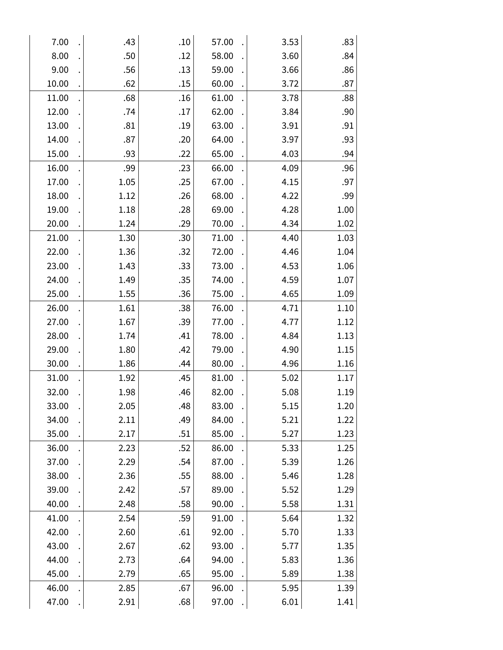| 7.00  | .43  | .10 | 57.00 | 3.53 | .83  |
|-------|------|-----|-------|------|------|
| 8.00  | .50  | .12 | 58.00 | 3.60 | .84  |
| 9.00  | .56  | .13 | 59.00 | 3.66 | .86  |
| 10.00 | .62  | .15 | 60.00 | 3.72 | .87  |
| 11.00 | .68  | .16 | 61.00 | 3.78 | .88  |
| 12.00 | .74  | .17 | 62.00 | 3.84 | .90  |
| 13.00 | .81  | .19 | 63.00 | 3.91 | .91  |
| 14.00 | .87  | .20 | 64.00 | 3.97 | .93  |
| 15.00 | .93  | .22 | 65.00 | 4.03 | .94  |
| 16.00 | .99  | .23 | 66.00 | 4.09 | .96  |
| 17.00 | 1.05 | .25 | 67.00 | 4.15 | .97  |
| 18.00 | 1.12 | .26 | 68.00 | 4.22 | .99  |
| 19.00 | 1.18 | .28 | 69.00 | 4.28 | 1.00 |
| 20.00 | 1.24 | .29 | 70.00 | 4.34 | 1.02 |
| 21.00 | 1.30 | .30 | 71.00 | 4.40 | 1.03 |
| 22.00 | 1.36 | .32 | 72.00 | 4.46 | 1.04 |
| 23.00 | 1.43 | .33 | 73.00 | 4.53 | 1.06 |
| 24.00 | 1.49 | .35 | 74.00 | 4.59 | 1.07 |
| 25.00 | 1.55 | .36 | 75.00 | 4.65 | 1.09 |
| 26.00 | 1.61 | .38 | 76.00 | 4.71 | 1.10 |
| 27.00 | 1.67 | .39 | 77.00 | 4.77 | 1.12 |
| 28.00 | 1.74 | .41 | 78.00 | 4.84 | 1.13 |
| 29.00 | 1.80 | .42 | 79.00 | 4.90 | 1.15 |
| 30.00 | 1.86 | .44 | 80.00 | 4.96 | 1.16 |
| 31.00 | 1.92 | .45 | 81.00 | 5.02 | 1.17 |
| 32.00 | 1.98 | .46 | 82.00 | 5.08 | 1.19 |
| 33.00 | 2.05 | .48 | 83.00 | 5.15 | 1.20 |
| 34.00 | 2.11 | .49 | 84.00 | 5.21 | 1.22 |
| 35.00 | 2.17 | .51 | 85.00 | 5.27 | 1.23 |
| 36.00 | 2.23 | .52 | 86.00 | 5.33 | 1.25 |
| 37.00 | 2.29 | .54 | 87.00 | 5.39 | 1.26 |
| 38.00 | 2.36 | .55 | 88.00 | 5.46 | 1.28 |
| 39.00 | 2.42 | .57 | 89.00 | 5.52 | 1.29 |
| 40.00 | 2.48 | .58 | 90.00 | 5.58 | 1.31 |
| 41.00 | 2.54 | .59 | 91.00 | 5.64 | 1.32 |
| 42.00 | 2.60 | .61 | 92.00 | 5.70 | 1.33 |
| 43.00 | 2.67 | .62 | 93.00 | 5.77 | 1.35 |
| 44.00 | 2.73 | .64 | 94.00 | 5.83 | 1.36 |
| 45.00 | 2.79 | .65 | 95.00 | 5.89 | 1.38 |
| 46.00 | 2.85 | .67 | 96.00 | 5.95 | 1.39 |
| 47.00 | 2.91 | .68 | 97.00 | 6.01 | 1.41 |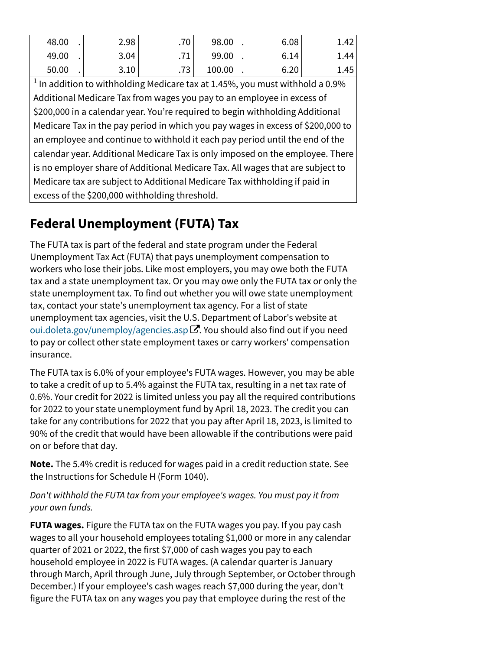| 48.00 | 2.98 | .70 <sup>1</sup> | 98.00  | 6.08 | 1.42 |
|-------|------|------------------|--------|------|------|
| 49.00 | 3.04 |                  | 99.00  | 6.14 | 1.44 |
| 50.00 | 3.10 | .73 <sup>1</sup> | 100.00 | 6.20 | 1.45 |

 $^1$  In addition to withholding Medicare tax at 1.45%, you must withhold a 0.9% Additional Medicare Tax from wages you pay to an employee in excess of \$200,000 in a calendar year. You're required to begin withholding Additional Medicare Tax in the pay period in which you pay wages in excess of \$200,000 to an employee and continue to withhold it each pay period until the end of the calendar year. Additional Medicare Tax is only imposed on the employee. There is no employer share of Additional Medicare Tax. All wages that are subject to Medicare tax are subject to Additional Medicare Tax withholding if paid in excess of the \$200,000 withholding threshold.

## **Federal Unemployment (FUTA) Tax**

The FUTA tax is part of the federal and state program under the Federal Unemployment Tax Act (FUTA) that pays unemployment compensation to workers who lose their jobs. Like most employers, you may owe both the FUTA tax and a state unemployment tax. Or you may owe only the FUTA tax or only the state unemployment tax. To find out whether you will owe state unemployment tax, contact your state's unemployment tax agency. For a list of state unemployment tax agencies, visit the U.S. Department of Labor's website at [oui.doleta.gov/unemploy/agencies.asp](https://oui.doleta.gov/unemploy/agencies.asp) ${\mathbf \Xi}.$  You should also find out if you need to pay or collect other state employment taxes or carry workers' compensation insurance.

The FUTA tax is 6.0% of your employee's FUTA wages. However, you may be able to take a credit of up to 5.4% against the FUTA tax, resulting in a net tax rate of 0.6%. Your credit for 2022 is limited unless you pay all the required contributions for 2022 to your state unemployment fund by April 18, 2023. The credit you can take for any contributions for 2022 that you pay after April 18, 2023, is limited to 90% of the credit that would have been allowable if the contributions were paid on or before that day.

**Note.** The 5.4% credit is reduced for wages paid in a credit reduction state. See the Instructions for Schedule H (Form 1040).

### *Don't withhold the FUTA tax from your employee's wages. You must pay it from your own funds.*

**FUTA wages.** Figure the FUTA tax on the FUTA wages you pay. If you pay cash wages to all your household employees totaling \$1,000 or more in any calendar quarter of 2021 or 2022, the first \$7,000 of cash wages you pay to each household employee in 2022 is FUTA wages. (A calendar quarter is January through March, April through June, July through September, or October through December.) If your employee's cash wages reach \$7,000 during the year, don't figure the FUTA tax on any wages you pay that employee during the rest of the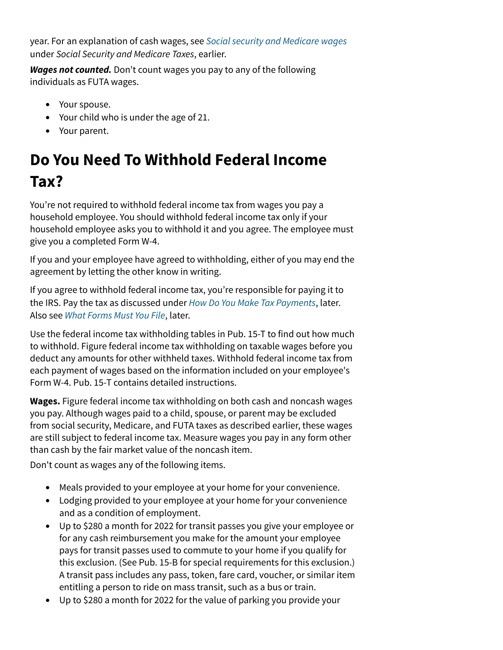year. For an explanation of cash wages, see *[Social security and Medicare wages](https://www.irs.gov/publications/p926#en_US_2022_publink100086737)* under *Social Security and Medicare Taxes*, earlier.

*Wages not counted.* Don't count wages you pay to any of the following individuals as FUTA wages.

- Your spouse.
- Your child who is under the age of 21.
- Your parent.

# **Do You Need To Withhold Federal Income Tax?**

You're not required to withhold federal income tax from wages you pay a household employee. You should withhold federal income tax only if your household employee asks you to withhold it and you agree. The employee must give you a completed Form W-4.

If you and your employee have agreed to withholding, either of you may end the agreement by letting the other know in writing.

If you agree to withhold federal income tax, you're responsible for paying it to the IRS. Pay the tax as discussed under *[How Do You Make Tax Payments](https://www.irs.gov/publications/p926#en_US_2022_publink100086758)*, later. Also see *[What Forms Must You File](https://www.irs.gov/publications/p926#en_US_2022_publink100086765)*, later.

Use the federal income tax withholding tables in Pub. 15-T to find out how much to withhold. Figure federal income tax withholding on taxable wages before you deduct any amounts for other withheld taxes. Withhold federal income tax from each payment of wages based on the information included on your employee's Form W-4. Pub. 15-T contains detailed instructions.

**Wages.** Figure federal income tax withholding on both cash and noncash wages you pay. Although wages paid to a child, spouse, or parent may be excluded from social security, Medicare, and FUTA taxes as described earlier, these wages are still subject to federal income tax. Measure wages you pay in any form other than cash by the fair market value of the noncash item.

Don't count as wages any of the following items.

- Meals provided to your employee at your home for your convenience.
- Lodging provided to your employee at your home for your convenience and as a condition of employment.
- Up to \$280 a month for 2022 for transit passes you give your employee or for any cash reimbursement you make for the amount your employee pays for transit passes used to commute to your home if you qualify for this exclusion. (See Pub. 15-B for special requirements for this exclusion.) A transit pass includes any pass, token, fare card, voucher, or similar item entitling a person to ride on mass transit, such as a bus or train.
- Up to \$280 a month for 2022 for the value of parking you provide your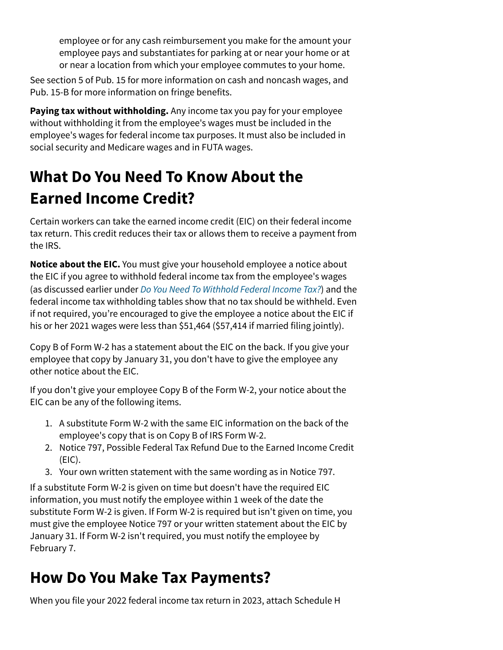employee or for any cash reimbursement you make for the amount your employee pays and substantiates for parking at or near your home or at or near a location from which your employee commutes to your home.

See section 5 of Pub. 15 for more information on cash and noncash wages, and Pub. 15-B for more information on fringe benefits.

**Paying tax without withholding.** Any income tax you pay for your employee without withholding it from the employee's wages must be included in the employee's wages for federal income tax purposes. It must also be included in social security and Medicare wages and in FUTA wages.

## **What Do You Need To Know About the Earned Income Credit?**

Certain workers can take the earned income credit (EIC) on their federal income tax return. This credit reduces their tax or allows them to receive a payment from the IRS.

**Notice about the EIC.** You must give your household employee a notice about the EIC if you agree to withhold federal income tax from the employee's wages (as discussed earlier under *[Do You Need To Withhold Federal Income Tax?](https://www.irs.gov/publications/p926#en_US_2022_publink100086752)*) and the federal income tax withholding tables show that no tax should be withheld. Even if not required, you're encouraged to give the employee a notice about the EIC if his or her 2021 wages were less than \$51,464 (\$57,414 if married filing jointly).

Copy B of Form W-2 has a statement about the EIC on the back. If you give your employee that copy by January 31, you don't have to give the employee any other notice about the EIC.

If you don't give your employee Copy B of the Form W-2, your notice about the EIC can be any of the following items.

- 1. A substitute Form W-2 with the same EIC information on the back of the employee's copy that is on Copy B of IRS Form W-2.
- 2. Notice 797, Possible Federal Tax Refund Due to the Earned Income Credit (EIC).
- 3. Your own written statement with the same wording as in Notice 797.

If a substitute Form W-2 is given on time but doesn't have the required EIC information, you must notify the employee within 1 week of the date the substitute Form W-2 is given. If Form W-2 is required but isn't given on time, you must give the employee Notice 797 or your written statement about the EIC by January 31. If Form W-2 isn't required, you must notify the employee by February 7.

## **How Do You Make Tax Payments?**

When you file your 2022 federal income tax return in 2023, attach Schedule H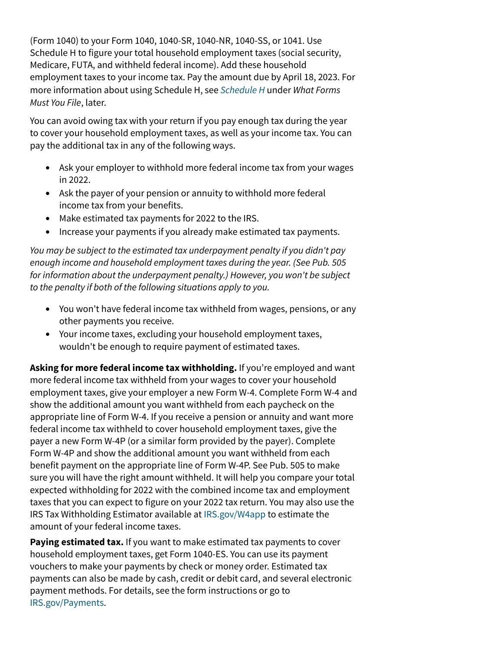(Form 1040) to your Form 1040, 1040-SR, 1040-NR, 1040-SS, or 1041. Use Schedule H to figure your total household employment taxes (social security, Medicare, FUTA, and withheld federal income). Add these household employment taxes to your income tax. Pay the amount due by April 18, 2023. For more information about using Schedule H, see *[Schedule H](https://www.irs.gov/publications/p926#en_US_2022_publink100086770)* under *What Forms Must You File*, later.

You can avoid owing tax with your return if you pay enough tax during the year to cover your household employment taxes, as well as your income tax. You can pay the additional tax in any of the following ways.

- Ask your employer to withhold more federal income tax from your wages in 2022.
- Ask the payer of your pension or annuity to withhold more federal income tax from your benefits.
- Make estimated tax payments for 2022 to the IRS.
- Increase your payments if you already make estimated tax payments.

*You may be subject to the estimated tax underpayment penalty if you didn't pay enough income and household employment taxes during the year. (See Pub. 505 for information about the underpayment penalty.) However, you won't be subject to the penalty if both of the following situations apply to you.*

- You won't have federal income tax withheld from wages, pensions, or any other payments you receive.
- Your income taxes, excluding your household employment taxes, wouldn't be enough to require payment of estimated taxes.

**Asking for more federal income tax withholding.** If you're employed and want more federal income tax withheld from your wages to cover your household employment taxes, give your employer a new Form W-4. Complete Form W-4 and show the additional amount you want withheld from each paycheck on the appropriate line of Form W-4. If you receive a pension or annuity and want more federal income tax withheld to cover household employment taxes, give the payer a new Form W-4P (or a similar form provided by the payer). Complete Form W-4P and show the additional amount you want withheld from each benefit payment on the appropriate line of Form W-4P. See Pub. 505 to make sure you will have the right amount withheld. It will help you compare your total expected withholding for 2022 with the combined income tax and employment taxes that you can expect to figure on your 2022 tax return. You may also use the IRS Tax Withholding Estimator available at [IRS.gov/W4app](https://www.irs.gov/w4app) to estimate the amount of your federal income taxes.

**Paying estimated tax.** If you want to make estimated tax payments to cover household employment taxes, get Form 1040-ES. You can use its payment vouchers to make your payments by check or money order. Estimated tax payments can also be made by cash, credit or debit card, and several electronic payment methods. For details, see the form instructions or go to [IRS.gov/Payments](https://www.irs.gov/payments).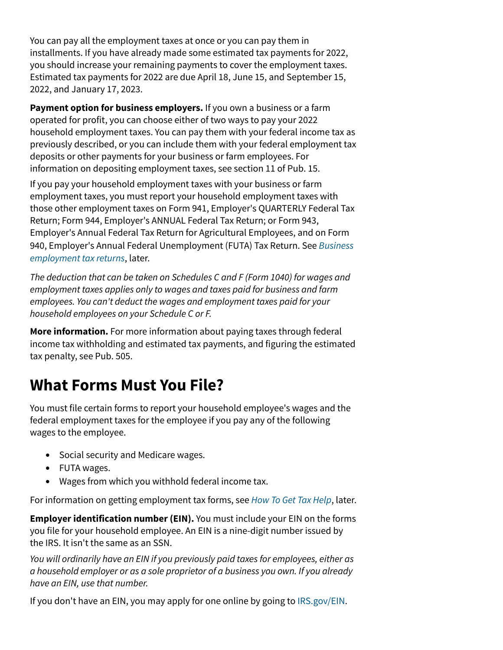You can pay all the employment taxes at once or you can pay them in installments. If you have already made some estimated tax payments for 2022, you should increase your remaining payments to cover the employment taxes. Estimated tax payments for 2022 are due April 18, June 15, and September 15, 2022, and January 17, 2023.

**Payment option for business employers.** If you own a business or a farm operated for profit, you can choose either of two ways to pay your 2022 household employment taxes. You can pay them with your federal income tax as previously described, or you can include them with your federal employment tax deposits or other payments for your business or farm employees. For information on depositing employment taxes, see section 11 of Pub. 15.

If you pay your household employment taxes with your business or farm employment taxes, you must report your household employment taxes with those other employment taxes on Form 941, Employer's QUARTERLY Federal Tax Return; Form 944, Employer's ANNUAL Federal Tax Return; or Form 943, Employer's Annual Federal Tax Return for Agricultural Employees, and on Form 940, Employer's Annual Federal Unemployment (FUTA) Tax Return. See *[Business](https://www.irs.gov/publications/p926#en_US_2022_publink100086772) [employment tax returns](https://www.irs.gov/publications/p926#en_US_2022_publink100086772)*, later.

*The deduction that can be taken on Schedules C and F (Form 1040) for wages and employment taxes applies only to wages and taxes paid for business and farm employees. You can't deduct the wages and employment taxes paid for your household employees on your Schedule C or F.*

**More information.** For more information about paying taxes through federal income tax withholding and estimated tax payments, and figuring the estimated tax penalty, see Pub. 505.

## **What Forms Must You File?**

You must file certain forms to report your household employee's wages and the federal employment taxes for the employee if you pay any of the following wages to the employee.

- Social security and Medicare wages.
- FUTA wages.
- Wages from which you withhold federal income tax.

For information on getting employment tax forms, see *[How To Get Tax Help](https://www.irs.gov/publications/p926#en_US_2022_publink100091079)*, later.

**Employer identification number (EIN).** You must include your EIN on the forms you file for your household employee. An EIN is a nine-digit number issued by the IRS. It isn't the same as an SSN.

*You will ordinarily have an EIN if you previously paid taxes for employees, either as a household employer or as a sole proprietor of a business you own. If you already have an EIN, use that number.*

If you don't have an EIN, you may apply for one online by going to [IRS.gov/EIN](https://www.irs.gov/ein).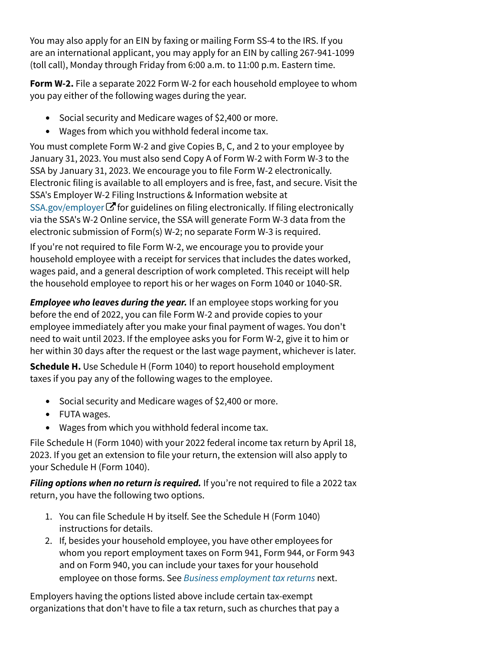You may also apply for an EIN by faxing or mailing Form SS-4 to the IRS. If you are an international applicant, you may apply for an EIN by calling 267-941-1099 (toll call), Monday through Friday from 6:00 a.m. to 11:00 p.m. Eastern time.

**Form W-2.** File a separate 2022 Form W-2 for each household employee to whom you pay either of the following wages during the year.

- Social security and Medicare wages of \$2,400 or more.
- Wages from which you withhold federal income tax.

You must complete Form W-2 and give Copies B, C, and 2 to your employee by January 31, 2023. You must also send Copy A of Form W-2 with Form W-3 to the SSA by January 31, 2023. We encourage you to file Form W-2 electronically. Electronic filing is available to all employers and is free, fast, and secure. Visit the SSA's Employer W-2 Filing Instructions & Information website at [SSA.gov/employer](https://www.ssa.gov/employer)  $\bm{\mathcal{G}}$  for guidelines on filing electronically. If filing electronically via the SSA's W-2 Online service, the SSA will generate Form W-3 data from the electronic submission of Form(s) W-2; no separate Form W-3 is required.

If you're not required to file Form W-2, we encourage you to provide your household employee with a receipt for services that includes the dates worked, wages paid, and a general description of work completed. This receipt will help the household employee to report his or her wages on Form 1040 or 1040-SR.

*Employee who leaves during the year.* If an employee stops working for you before the end of 2022, you can file Form W-2 and provide copies to your employee immediately after you make your final payment of wages. You don't need to wait until 2023. If the employee asks you for Form W-2, give it to him or her within 30 days after the request or the last wage payment, whichever is later.

**Schedule H.** Use Schedule H (Form 1040) to report household employment taxes if you pay any of the following wages to the employee.

- Social security and Medicare wages of \$2,400 or more.
- FUTA wages.
- Wages from which you withhold federal income tax.

File Schedule H (Form 1040) with your 2022 federal income tax return by April 18, 2023. If you get an extension to file your return, the extension will also apply to your Schedule H (Form 1040).

Filing options when no return is required. If you're not required to file a 2022 tax return, you have the following two options.

- 1. You can file Schedule H by itself. See the Schedule H (Form 1040) instructions for details.
- 2. If, besides your household employee, you have other employees for whom you report employment taxes on Form 941, Form 944, or Form 943 and on Form 940, you can include your taxes for your household employee on those forms. See *[Business employment tax returns](https://www.irs.gov/publications/p926#en_US_2022_publink100086772)* next.

Employers having the options listed above include certain tax-exempt organizations that don't have to file a tax return, such as churches that pay a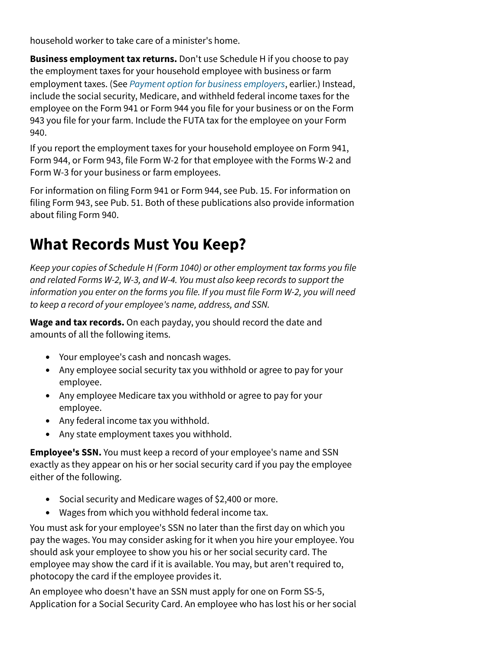household worker to take care of a minister's home.

**Business employment tax returns.** Don't use Schedule H if you choose to pay the employment taxes for your household employee with business or farm employment taxes. (See *[Payment option for business employers](https://www.irs.gov/publications/p926#en_US_2022_publink100086762)*, earlier.) Instead, include the social security, Medicare, and withheld federal income taxes for the employee on the Form 941 or Form 944 you file for your business or on the Form 943 you file for your farm. Include the FUTA tax for the employee on your Form 940.

If you report the employment taxes for your household employee on Form 941, Form 944, or Form 943, file Form W-2 for that employee with the Forms W-2 and Form W-3 for your business or farm employees.

For information on filing Form 941 or Form 944, see Pub. 15. For information on filing Form 943, see Pub. 51. Both of these publications also provide information about filing Form 940.

## **What Records Must You Keep?**

*Keep your copies of Schedule H (Form 1040) or other employment tax forms you file and related Forms W-2, W-3, and W-4. You must also keep records to support the information you enter on the forms you file. If you must file Form W-2, you will need to keep a record of your employee's name, address, and SSN.*

**Wage and tax records.** On each payday, you should record the date and amounts of all the following items.

- Your employee's cash and noncash wages.
- Any employee social security tax you withhold or agree to pay for your employee.
- Any employee Medicare tax you withhold or agree to pay for your employee.
- Any federal income tax you withhold.
- Any state employment taxes you withhold.

**Employee's SSN.** You must keep a record of your employee's name and SSN exactly as they appear on his or her social security card if you pay the employee either of the following.

- Social security and Medicare wages of \$2,400 or more.
- Wages from which you withhold federal income tax.

You must ask for your employee's SSN no later than the first day on which you pay the wages. You may consider asking for it when you hire your employee. You should ask your employee to show you his or her social security card. The employee may show the card if it is available. You may, but aren't required to, photocopy the card if the employee provides it.

An employee who doesn't have an SSN must apply for one on Form SS-5, Application for a Social Security Card. An employee who has lost his or her social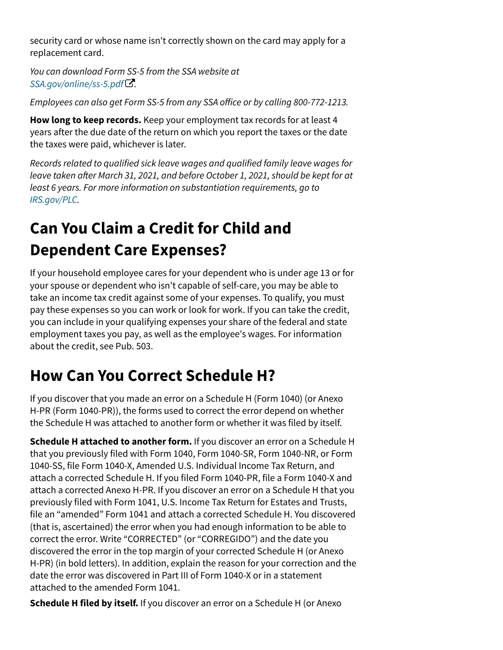security card or whose name isn't correctly shown on the card may apply for a replacement card.

*You can download Form SS-5 from the SSA website at . [SSA.gov/online/ss-5.pdf](https://www.ssa.gov/forms/ss-5.pdf)* [!](https://www.ssa.gov/forms/ss-5.pdf)

*Employees can also get Form SS-5 from any SSA o*f*ice or by calling 800-772-1213.*

**How long to keep records.** Keep your employment tax records for at least 4 years after the due date of the return on which you report the taxes or the date the taxes were paid, whichever is later.

*Records related to qualified sick leave wages and qualified family leave wages for leave taken a*f*er March 31, 2021, and before October 1, 2021, should be kept for at least 6 years. For more information on substantiation requirements, go to [IRS.gov/PLC](https://www.irs.gov/plc).*

# **Can You Claim a Credit for Child and Dependent Care Expenses?**

If your household employee cares for your dependent who is under age 13 or for your spouse or dependent who isn't capable of self-care, you may be able to take an income tax credit against some of your expenses. To qualify, you must pay these expenses so you can work or look for work. If you can take the credit, you can include in your qualifying expenses your share of the federal and state employment taxes you pay, as well as the employee's wages. For information about the credit, see Pub. 503.

# **How Can You Correct Schedule H?**

If you discover that you made an error on a Schedule H (Form 1040) (or Anexo H-PR (Form 1040-PR)), the forms used to correct the error depend on whether the Schedule H was attached to another form or whether it was filed by itself.

**Schedule H attached to another form.** If you discover an error on a Schedule H that you previously filed with Form 1040, Form 1040-SR, Form 1040-NR, or Form 1040-SS, file Form 1040-X, Amended U.S. Individual Income Tax Return, and attach a corrected Schedule H. If you filed Form 1040-PR, file a Form 1040-X and attach a corrected Anexo H-PR. If you discover an error on a Schedule H that you previously filed with Form 1041, U.S. Income Tax Return for Estates and Trusts, file an "amended" Form 1041 and attach a corrected Schedule H. You discovered (that is, ascertained) the error when you had enough information to be able to correct the error. Write "CORRECTED" (or "CORREGIDO") and the date you discovered the error in the top margin of your corrected Schedule H (or Anexo H-PR) (in bold letters). In addition, explain the reason for your correction and the date the error was discovered in Part III of Form 1040-X or in a statement attached to the amended Form 1041.

**Schedule H filed by itself.** If you discover an error on a Schedule H (or Anexo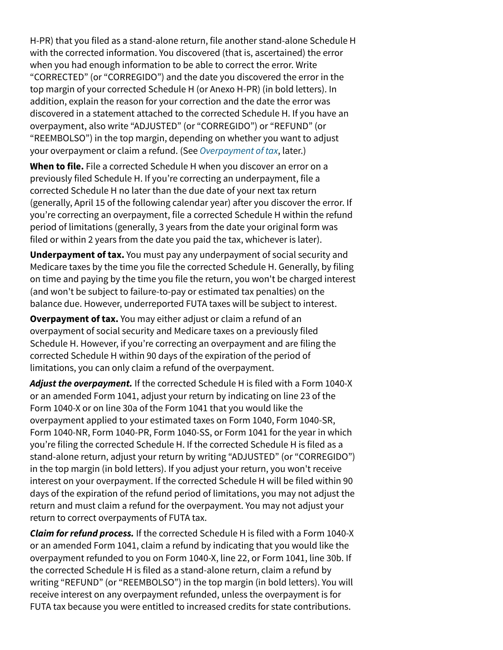H-PR) that you filed as a stand-alone return, file another stand-alone Schedule H with the corrected information. You discovered (that is, ascertained) the error when you had enough information to be able to correct the error. Write "CORRECTED" (or "CORREGIDO") and the date you discovered the error in the top margin of your corrected Schedule H (or Anexo H-PR) (in bold letters). In addition, explain the reason for your correction and the date the error was discovered in a statement attached to the corrected Schedule H. If you have an overpayment, also write "ADJUSTED" (or "CORREGIDO") or "REFUND" (or "REEMBOLSO") in the top margin, depending on whether you want to adjust your overpayment or claim a refund. (See *[Overpayment of tax](https://www.irs.gov/publications/p926#en_US_2022_publink1000105089)*, later.)

**When to file.** File a corrected Schedule H when you discover an error on a previously filed Schedule H. If you're correcting an underpayment, file a corrected Schedule H no later than the due date of your next tax return (generally, April 15 of the following calendar year) after you discover the error. If you're correcting an overpayment, file a corrected Schedule H within the refund period of limitations (generally, 3 years from the date your original form was filed or within 2 years from the date you paid the tax, whichever is later).

**Underpayment of tax.** You must pay any underpayment of social security and Medicare taxes by the time you file the corrected Schedule H. Generally, by filing on time and paying by the time you file the return, you won't be charged interest (and won't be subject to failure-to-pay or estimated tax penalties) on the balance due. However, underreported FUTA taxes will be subject to interest.

**Overpayment of tax.** You may either adjust or claim a refund of an overpayment of social security and Medicare taxes on a previously filed Schedule H. However, if you're correcting an overpayment and are filing the corrected Schedule H within 90 days of the expiration of the period of limitations, you can only claim a refund of the overpayment.

*Adjust the overpayment.* If the corrected Schedule H is filed with a Form 1040-X or an amended Form 1041, adjust your return by indicating on line 23 of the Form 1040-X or on line 30a of the Form 1041 that you would like the overpayment applied to your estimated taxes on Form 1040, Form 1040-SR, Form 1040-NR, Form 1040-PR, Form 1040-SS, or Form 1041 for the year in which you're filing the corrected Schedule H. If the corrected Schedule H is filed as a stand-alone return, adjust your return by writing "ADJUSTED" (or "CORREGIDO") in the top margin (in bold letters). If you adjust your return, you won't receive interest on your overpayment. If the corrected Schedule H will be filed within 90 days of the expiration of the refund period of limitations, you may not adjust the return and must claim a refund for the overpayment. You may not adjust your return to correct overpayments of FUTA tax.

*Claim for refund process.* If the corrected Schedule H is filed with a Form 1040-X or an amended Form 1041, claim a refund by indicating that you would like the overpayment refunded to you on Form 1040-X, line 22, or Form 1041, line 30b. If the corrected Schedule H is filed as a stand-alone return, claim a refund by writing "REFUND" (or "REEMBOLSO") in the top margin (in bold letters). You will receive interest on any overpayment refunded, unless the overpayment is for FUTA tax because you were entitled to increased credits for state contributions.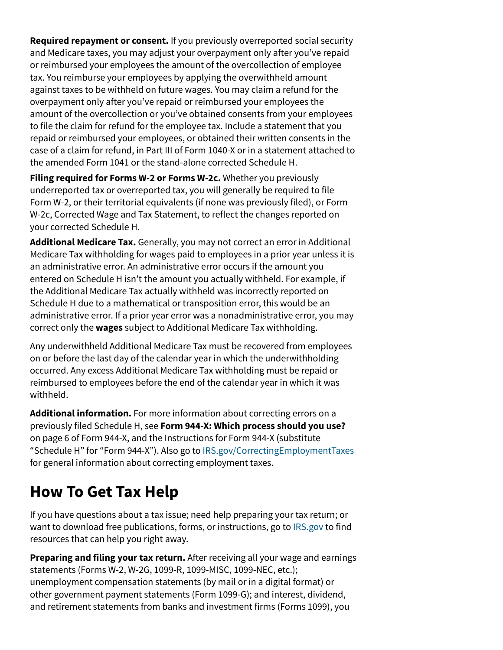**Required repayment or consent.** If you previously overreported social security and Medicare taxes, you may adjust your overpayment only after you've repaid or reimbursed your employees the amount of the overcollection of employee tax. You reimburse your employees by applying the overwithheld amount against taxes to be withheld on future wages. You may claim a refund for the overpayment only after you've repaid or reimbursed your employees the amount of the overcollection or you've obtained consents from your employees to file the claim for refund for the employee tax. Include a statement that you repaid or reimbursed your employees, or obtained their written consents in the case of a claim for refund, in Part III of Form 1040-X or in a statement attached to the amended Form 1041 or the stand-alone corrected Schedule H.

**Filing required for Forms W-2 or Forms W-2c.** Whether you previously underreported tax or overreported tax, you will generally be required to file Form W-2, or their territorial equivalents (if none was previously filed), or Form W-2c, Corrected Wage and Tax Statement, to reflect the changes reported on your corrected Schedule H.

**Additional Medicare Tax.** Generally, you may not correct an error in Additional Medicare Tax withholding for wages paid to employees in a prior year unless it is an administrative error. An administrative error occurs if the amount you entered on Schedule H isn't the amount you actually withheld. For example, if the Additional Medicare Tax actually withheld was incorrectly reported on Schedule H due to a mathematical or transposition error, this would be an administrative error. If a prior year error was a nonadministrative error, you may correct only the **wages** subject to Additional Medicare Tax withholding.

Any underwithheld Additional Medicare Tax must be recovered from employees on or before the last day of the calendar year in which the underwithholding occurred. Any excess Additional Medicare Tax withholding must be repaid or reimbursed to employees before the end of the calendar year in which it was withheld.

**Additional information.** For more information about correcting errors on a previously filed Schedule H, see **Form 944-X: Which process should you use?** on page 6 of Form 944-X, and the Instructions for Form 944-X (substitute "Schedule H" for "Form 944-X"). Also go to [IRS.gov/CorrectingEmploymentTaxes](https://www.irs.gov/correctingemploymenttaxes) for general information about correcting employment taxes.

## **How To Get Tax Help**

If you have questions about a tax issue; need help preparing your tax return; or want to download free publications, forms, or instructions, go to [IRS.gov](https://www.irs.gov/) to find resources that can help you right away.

**Preparing and filing your tax return.** After receiving all your wage and earnings statements (Forms W-2, W-2G, 1099-R, 1099-MISC, 1099-NEC, etc.); unemployment compensation statements (by mail or in a digital format) or other government payment statements (Form 1099-G); and interest, dividend, and retirement statements from banks and investment firms (Forms 1099), you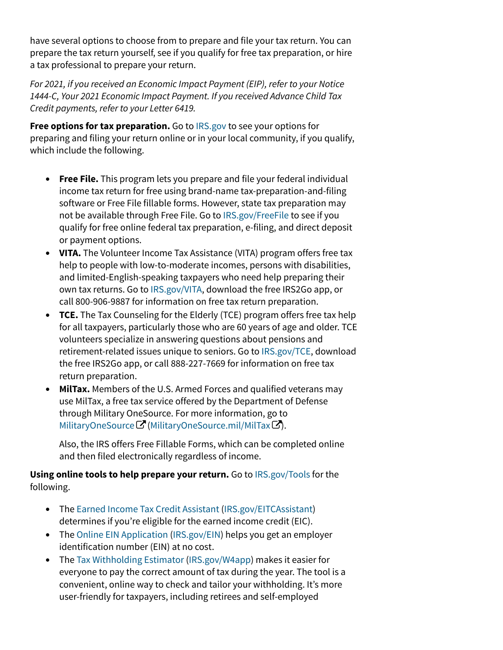have several options to choose from to prepare and file your tax return. You can prepare the tax return yourself, see if you qualify for free tax preparation, or hire a tax professional to prepare your return.

*For 2021, if you received an Economic Impact Payment (EIP), refer to your Notice 1444-C, Your 2021 Economic Impact Payment. If you received Advance Child Tax Credit payments, refer to your Letter 6419.*

**Free options for tax preparation.** Go to [IRS.gov](https://www.irs.gov/) to see your options for preparing and filing your return online or in your local community, if you qualify, which include the following.

- **Free File.** This program lets you prepare and file your federal individual income tax return for free using brand-name tax-preparation-and-filing software or Free File fillable forms. However, state tax preparation may not be available through Free File. Go to [IRS.gov/FreeFile](https://www.irs.gov/freefile) to see if you qualify for free online federal tax preparation, e-filing, and direct deposit or payment options.
- **VITA.** The Volunteer Income Tax Assistance (VITA) program offers free tax help to people with low-to-moderate incomes, persons with disabilities, and limited-English-speaking taxpayers who need help preparing their own tax returns. Go to [IRS.gov/VITA,](https://www.irs.gov/vita) download the free IRS2Go app, or call 800-906-9887 for information on free tax return preparation.
- **TCE.** The Tax Counseling for the Elderly (TCE) program offers free tax help for all taxpayers, particularly those who are 60 years of age and older. TCE volunteers specialize in answering questions about pensions and retirement-related issues unique to seniors. Go to [IRS.gov/TCE](https://www.irs.gov/tce), download the free IRS2Go app, or call 888-227-7669 for information on free tax return preparation.
- **MilTax.** Members of the U.S. Armed Forces and qualified veterans may use MilTax, a free tax service offered by the Department of Defense through Military OneSource. For more information, go to [MilitaryOneSource](https://www.militaryonesource.mil/miltax) ${\mathbf \Xi}$  ([MilitaryOneSource.mil/MilTax](https://www.militaryonesource.mil/miltax) ${\mathbf \Xi}$ ).

Also, the IRS offers Free Fillable Forms, which can be completed online and then filed electronically regardless of income.

**Using online tools to help prepare your return.** Go to [IRS.gov/Tools](https://www.irs.gov/tools) for the following.

- The [Earned Income Tax Credit Assistant](https://www.irs.gov/eitcassistant) ([IRS.gov/EITCAssistant\)](https://www.irs.gov/eitcassistant) determines if you're eligible for the earned income credit (EIC).
- The [Online EIN Application](https://www.irs.gov/ein) ([IRS.gov/EIN\)](https://www.irs.gov/ein) helps you get an employer identification number (EIN) at no cost.
- The [Tax Withholding Estimator](https://www.irs.gov/individuals/tax-withholding-estimator) [\(IRS.gov/W4app](https://www.irs.gov/W4app)) makes it easier for everyone to pay the correct amount of tax during the year. The tool is a convenient, online way to check and tailor your withholding. It's more user-friendly for taxpayers, including retirees and self-employed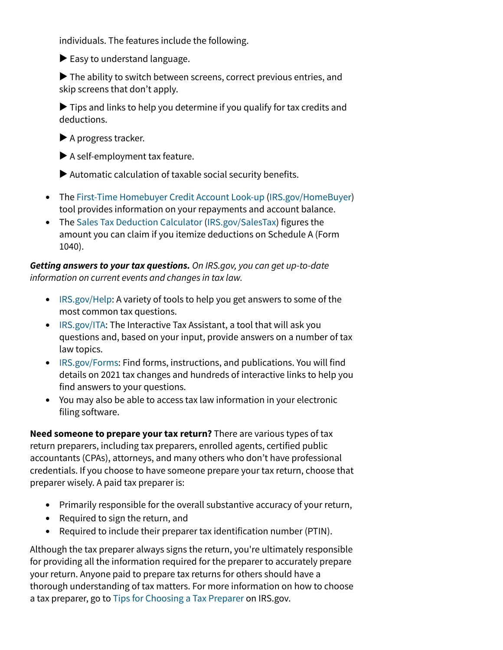individuals. The features include the following.

 $\blacktriangleright$  Easy to understand language.

▶ The ability to switch between screens, correct previous entries, and skip screens that don't apply.

 $\blacktriangleright$  Tips and links to help you determine if you qualify for tax credits and deductions.

▶ A progress tracker.

▶ A self-employment tax feature.

 $\blacktriangleright$  Automatic calculation of taxable social security benefits.

- The [First-Time Homebuyer Credit Account Look-up](https://www.irs.gov/credits-deductions/individuals/first-time-homebuyer-credit-account-look-up) [\(IRS.gov/HomeBuyer\)](https://www.irs.gov/homebuyer) tool provides information on your repayments and account balance.
- The [Sales Tax Deduction Calculator](https://www.irs.gov/salestax) [\(IRS.gov/SalesTax](https://www.irs.gov/salestax)) figures the amount you can claim if you itemize deductions on Schedule A (Form 1040).

### *Getting answers to your tax questions. On IRS.gov, you can get up-to-date information on current events and changes in tax law.*

- [IRS.gov/Help](https://www.irs.gov/help): A variety of tools to help you get answers to some of the most common tax questions.
- [IRS.gov/ITA](https://www.irs.gov/ita): The Interactive Tax Assistant, a tool that will ask you questions and, based on your input, provide answers on a number of tax law topics.
- [IRS.gov/Forms:](https://www.irs.gov/forms) Find forms, instructions, and publications. You will find details on 2021 tax changes and hundreds of interactive links to help you find answers to your questions.
- You may also be able to access tax law information in your electronic filing software.

**Need someone to prepare your tax return?** There are various types of tax return preparers, including tax preparers, enrolled agents, certified public accountants (CPAs), attorneys, and many others who don't have professional credentials. If you choose to have someone prepare your tax return, choose that preparer wisely. A paid tax preparer is:

- Primarily responsible for the overall substantive accuracy of your return,
- Required to sign the return, and
- Required to include their preparer tax identification number (PTIN).

Although the tax preparer always signs the return, you're ultimately responsible for providing all the information required for the preparer to accurately prepare your return. Anyone paid to prepare tax returns for others should have a thorough understanding of tax matters. For more information on how to choose a tax preparer, go to [Tips for Choosing a Tax Preparer](https://www.irs.gov/tax-professionals/choosing-a-tax-professional) on IRS.gov.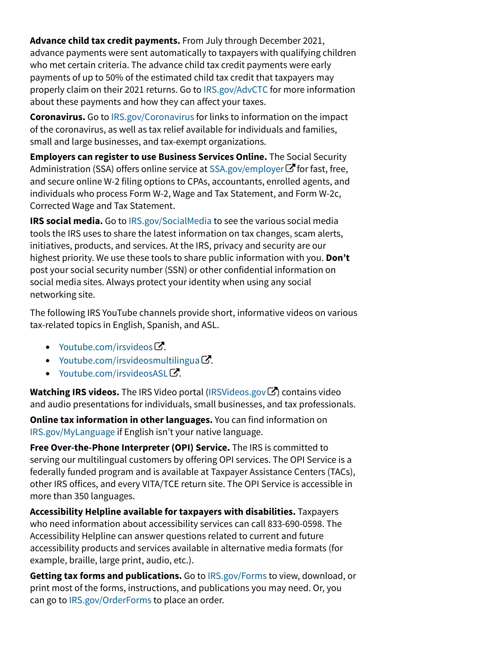**Advance child tax credit payments.** From July through December 2021, advance payments were sent automatically to taxpayers with qualifying children who met certain criteria. The advance child tax credit payments were early payments of up to 50% of the estimated child tax credit that taxpayers may properly claim on their 2021 returns. Go to [IRS.gov/AdvCTC](https://www.irs.gov/advctc) for more information about these payments and how they can affect your taxes.

**Coronavirus.** Go to [IRS.gov/Coronavirus](https://www.irs.gov/coronavirus) for links to information on the impact of the coronavirus, as well as tax relief available for individuals and families, small and large businesses, and tax-exempt organizations.

**Employers can register to use Business Services Online.** The Social Security Administration(SSA) offers online service at SSA.gov/employer  $\bm{\mathcal{C}}$  for fast, free, and secure online W-2 filing options to CPAs, accountants, enrolled agents, and individuals who process Form W-2, Wage and Tax Statement, and Form W-2c, Corrected Wage and Tax Statement.

**IRS social media.** Go to [IRS.gov/SocialMedia](https://www.irs.gov/socialmedia) to see the various social media tools the IRS uses to share the latest information on tax changes, scam alerts, initiatives, products, and services. At the IRS, privacy and security are our highest priority. We use these tools to share public information with you. **Don't** post your social security number (SSN) or other confidential information on social media sites. Always protect your identity when using any social networking site.

The following IRS YouTube channels provide short, informative videos on various tax-related topics in English, Spanish, and ASL.

- [Youtube.com/irsvideos](https://www.youtube.com/irsvideos) $\mathbf{C}$ .
- [Youtube.com/irsvideosmultilingua](https://www.youtube.com/IRSvideosmultilingua) $\mathbf C$ .
- [Youtube.com/irsvideosASL](https://www.youtube.com/IRSvideosASL) $\mathbb{Z}$ .

**Watching IRS videos.** The IRS Video portal ([IRSVideos.gov](http://www.irsvideos.gov/)*C*) contains video and audio presentations for individuals, small businesses, and tax professionals.

**Online tax information in other languages.** You can find information on [IRS.gov/MyLanguage](https://www.irs.gov/mylanguage) if English isn't your native language.

**Free Over-the-Phone Interpreter (OPI) Service.** The IRS is committed to serving our multilingual customers by offering OPI services. The OPI Service is a federally funded program and is available at Taxpayer Assistance Centers (TACs), other IRS offices, and every VITA/TCE return site. The OPI Service is accessible in more than 350 languages.

**Accessibility Helpline available for taxpayers with disabilities.** Taxpayers who need information about accessibility services can call 833-690-0598. The Accessibility Helpline can answer questions related to current and future accessibility products and services available in alternative media formats (for example, braille, large print, audio, etc.).

**Getting tax forms and publications.** Go to [IRS.gov/Forms](https://www.irs.gov/forms) to view, download, or print most of the forms, instructions, and publications you may need. Or, you can go to [IRS.gov/OrderForms](https://www.irs.gov/orderforms) to place an order.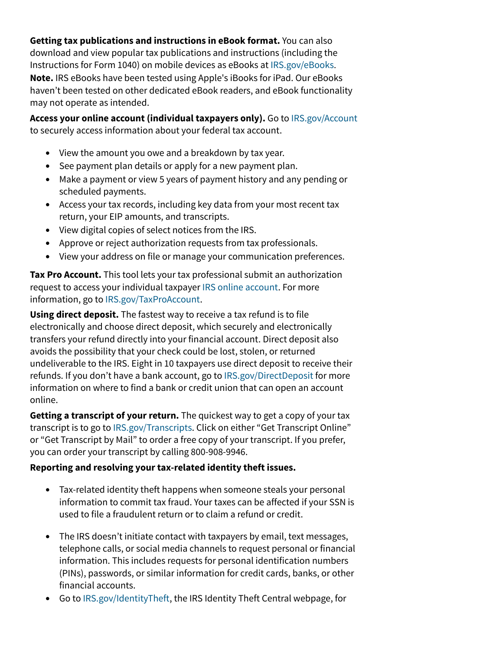**Getting tax publications and instructions in eBook format.** You can also download and view popular tax publications and instructions (including the Instructions for Form 1040) on mobile devices as eBooks at [IRS.gov/eBooks.](https://www.irs.gov/ebooks) **Note.** IRS eBooks have been tested using Apple's iBooks for iPad. Our eBooks haven't been tested on other dedicated eBook readers, and eBook functionality may not operate as intended.

**Access your online account (individual taxpayers only).** Go to [IRS.gov/Account](https://www.irs.gov/account) to securely access information about your federal tax account.

- View the amount you owe and a breakdown by tax year.
- See payment plan details or apply for a new payment plan.
- Make a payment or view 5 years of payment history and any pending or scheduled payments.
- Access your tax records, including key data from your most recent tax return, your EIP amounts, and transcripts.
- View digital copies of select notices from the IRS.
- Approve or reject authorization requests from tax professionals.
- View your address on file or manage your communication preferences.

**Tax Pro Account.** This tool lets your tax professional submit an authorization request to access your individual taxpayer [IRS online account.](https://www.irs.gov/account) For more information, go to [IRS.gov/TaxProAccount.](https://www.irs.gov/taxproaccount)

**Using direct deposit.** The fastest way to receive a tax refund is to file electronically and choose direct deposit, which securely and electronically transfers your refund directly into your financial account. Direct deposit also avoids the possibility that your check could be lost, stolen, or returned undeliverable to the IRS. Eight in 10 taxpayers use direct deposit to receive their refunds. If you don't have a bank account, go to [IRS.gov/DirectDeposit](https://www.irs.gov/directdeposit) for more information on where to find a bank or credit union that can open an account online.

**Getting a transcript of your return.** The quickest way to get a copy of your tax transcript is to go to [IRS.gov/Transcripts.](https://www.irs.gov/transcripts) Click on either "Get Transcript Online" or "Get Transcript by Mail" to order a free copy of your transcript. If you prefer, you can order your transcript by calling 800-908-9946.

#### **Reporting and resolving your tax-related identity theft issues.**

- Tax-related identity theft happens when someone steals your personal information to commit tax fraud. Your taxes can be affected if your SSN is used to file a fraudulent return or to claim a refund or credit.
- The IRS doesn't initiate contact with taxpayers by email, text messages, telephone calls, or social media channels to request personal or financial information. This includes requests for personal identification numbers (PINs), passwords, or similar information for credit cards, banks, or other financial accounts.
- Go to [IRS.gov/IdentityTheft,](https://www.irs.gov/identitytheft) the IRS Identity Theft Central webpage, for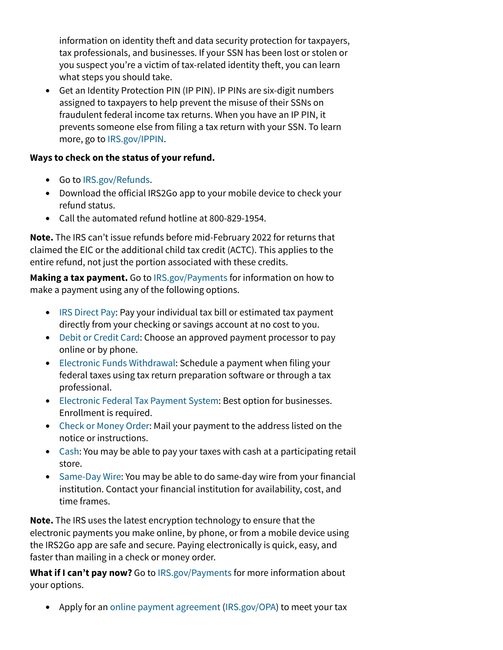information on identity theft and data security protection for taxpayers, tax professionals, and businesses. If your SSN has been lost or stolen or you suspect you're a victim of tax-related identity theft, you can learn what steps you should take.

• Get an Identity Protection PIN (IP PIN). IP PINs are six-digit numbers assigned to taxpayers to help prevent the misuse of their SSNs on fraudulent federal income tax returns. When you have an IP PIN, it prevents someone else from filing a tax return with your SSN. To learn more, go to [IRS.gov/IPPIN](https://www.irs.gov/ippin).

### **Ways to check on the status of your refund.**

- Go to [IRS.gov/Refunds](https://www.irs.gov/refunds).
- Download the official IRS2Go app to your mobile device to check your refund status.
- Call the automated refund hotline at 800-829-1954.

**Note.** The IRS can't issue refunds before mid-February 2022 for returns that claimed the EIC or the additional child tax credit (ACTC). This applies to the entire refund, not just the portion associated with these credits.

**Making a tax payment.** Go to [IRS.gov/Payments](https://www.irs.gov/payments) for information on how to make a payment using any of the following options.

- [IRS Direct Pay:](https://www.irs.gov/directpay) Pay your individual tax bill or estimated tax payment directly from your checking or savings account at no cost to you.
- [Debit or Credit Card](https://www.irs.gov/payments/pay-taxes-by-credit-or-debit-card): Choose an approved payment processor to pay online or by phone.
- [Electronic Funds Withdrawal:](https://www.irs.gov/efw) Schedule a payment when filing your federal taxes using tax return preparation software or through a tax professional.
- [Electronic Federal Tax Payment System](https://www.irs.gov/eftps): Best option for businesses. Enrollment is required.
- [Check or Money Order:](https://www.irs.gov/payments/pay-by-check-or-money-order) Mail your payment to the address listed on the notice or instructions.
- [Cash](https://www.irs.gov/payments/pay-with-cash-at-a-retail-partner): You may be able to pay your taxes with cash at a participating retail store.
- [Same-Day Wire](https://www.irs.gov/samedaywire): You may be able to do same-day wire from your financial institution. Contact your financial institution for availability, cost, and time frames.

**Note.** The IRS uses the latest encryption technology to ensure that the electronic payments you make online, by phone, or from a mobile device using the IRS2Go app are safe and secure. Paying electronically is quick, easy, and faster than mailing in a check or money order.

**What if I can't pay now?** Go to [IRS.gov/Payments](https://www.irs.gov/payments) for more information about your options.

• Apply for an [online payment agreement](https://www.irs.gov/opa) [\(IRS.gov/OPA\)](https://www.irs.gov/opa) to meet your tax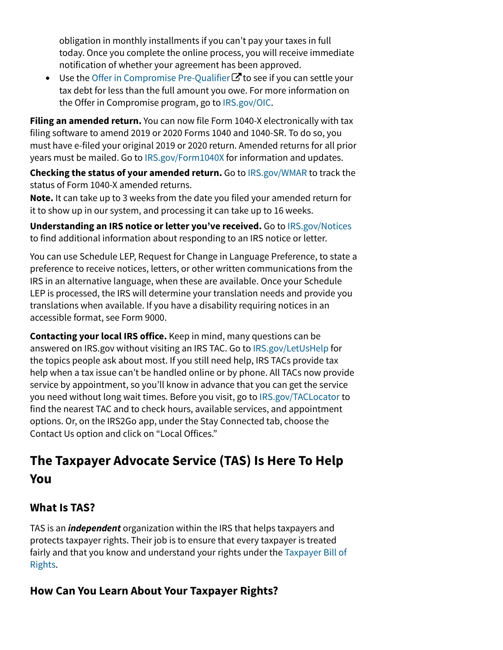obligation in monthly installments if you can't pay your taxes in full today. Once you complete the online process, you will receive immediate notification of whether your agreement has been approved.

• Use the Offer in Compromise Pre-Qualifier  $\mathbf C$  to see if you can settle your tax debt for less than the full amount you owe. For more information on the Offer in Compromise program, go to [IRS.gov/OIC.](https://www.irs.gov/payments/offer-in-compromise)

**Filing an amended return.** You can now file Form 1040-X electronically with tax filing software to amend 2019 or 2020 Forms 1040 and 1040-SR. To do so, you must have e-filed your original 2019 or 2020 return. Amended returns for all prior years must be mailed. Go to [IRS.gov/Form1040X](https://www.irs.gov/Form1040X) for information and updates.

**Checking the status of your amended return.** Go to [IRS.gov/WMAR](https://www.irs.gov/wmar) to track the status of Form 1040-X amended returns.

**Note.** It can take up to 3 weeks from the date you filed your amended return for it to show up in our system, and processing it can take up to 16 weeks.

**Understanding an IRS notice or letter you've received.** Go to [IRS.gov/Notices](https://www.irs.gov/notices) to find additional information about responding to an IRS notice or letter.

You can use Schedule LEP, Request for Change in Language Preference, to state a preference to receive notices, letters, or other written communications from the IRS in an alternative language, when these are available. Once your Schedule LEP is processed, the IRS will determine your translation needs and provide you translations when available. If you have a disability requiring notices in an accessible format, see Form 9000.

**Contacting your local IRS office.** Keep in mind, many questions can be answered on IRS.gov without visiting an IRS TAC. Go to [IRS.gov/LetUsHelp](https://www.irs.gov/letushelp) for the topics people ask about most. If you still need help, IRS TACs provide tax help when a tax issue can't be handled online or by phone. All TACs now provide service by appointment, so you'll know in advance that you can get the service you need without long wait times. Before you visit, go to [IRS.gov/TACLocator](https://www.irs.gov/taclocator) to find the nearest TAC and to check hours, available services, and appointment options. Or, on the IRS2Go app, under the Stay Connected tab, choose the Contact Us option and click on "Local Offices."

## **The Taxpayer Advocate Service (TAS) Is Here To Help You**

## **What Is TAS?**

TAS is an *independent* organization within the IRS that helps taxpayers and protects taxpayer rights. Their job is to ensure that every taxpayer is treated fairly and that you know and understand your rights under the [Taxpayer Bill of](https://www.taxpayeradvocate.irs.gov/get-help/taxpayer-rights) [Rights.](https://www.taxpayeradvocate.irs.gov/get-help/taxpayer-rights)

## **How Can You Learn About Your Taxpayer Rights?**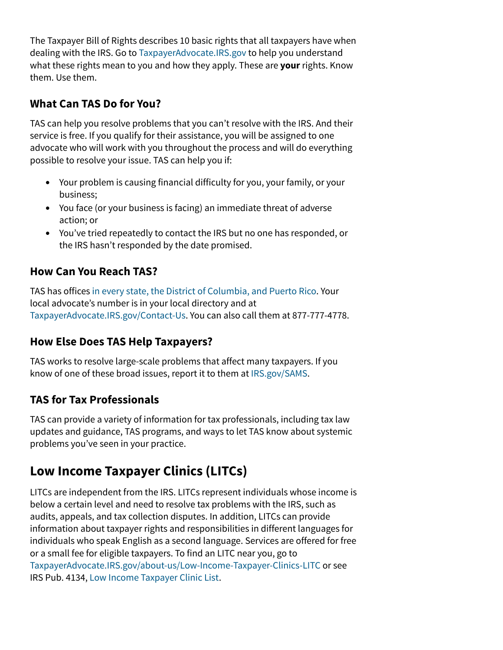The Taxpayer Bill of Rights describes 10 basic rights that all taxpayers have when dealing with the IRS. Go to [TaxpayerAdvocate.IRS.gov](https://www.taxpayeradvocate.irs.gov/) to help you understand what these rights mean to you and how they apply. These are **your**rights. Know them. Use them.

### **What Can TAS Do for You?**

TAS can help you resolve problems that you can't resolve with the IRS. And their service is free. If you qualify for their assistance, you will be assigned to one advocate who will work with you throughout the process and will do everything possible to resolve your issue. TAS can help you if:

- Your problem is causing financial difficulty for you, your family, or your business;
- You face (or your business is facing) an immediate threat of adverse action; or
- You've tried repeatedly to contact the IRS but no one has responded, or the IRS hasn't responded by the date promised.

## **How Can You Reach TAS?**

TAS has offices [in every state, the District of Columbia, and Puerto Rico](https://www.irs.gov/advocate/local-taxpayer-advocate). Your local advocate's number is in your local directory and at [TaxpayerAdvocate.IRS.gov/Contact-Us](http://www.taxpayeradvocate.irs.gov/contact-us). You can also call them at 877-777-4778.

## **How Else Does TAS Help Taxpayers?**

TAS works to resolve large-scale problems that affect many taxpayers. If you know of one of these broad issues, report it to them at [IRS.gov/SAMS](https://www.irs.gov/sams).

## **TAS for Tax Professionals**

TAS can provide a variety of information for tax professionals, including tax law updates and guidance, TAS programs, and ways to let TAS know about systemic problems you've seen in your practice.

## **Low Income Taxpayer Clinics (LITCs)**

LITCs are independent from the IRS. LITCs represent individuals whose income is below a certain level and need to resolve tax problems with the IRS, such as audits, appeals, and tax collection disputes. In addition, LITCs can provide information about taxpayer rights and responsibilities in different languages for individuals who speak English as a second language. Services are offered for free or a small fee for eligible taxpayers. To find an LITC near you, go to [TaxpayerAdvocate.IRS.gov/about-us/Low-Income-Taxpayer-Clinics-LITC](https://www.taxpayeradvocate.irs.gov/about-us/low-income-taxpayer-clinics-litc/) or see IRS Pub. 4134, [Low Income Taxpayer Clinic List.](https://www.irs.gov/pub/irs-pdf/p4134.pdf)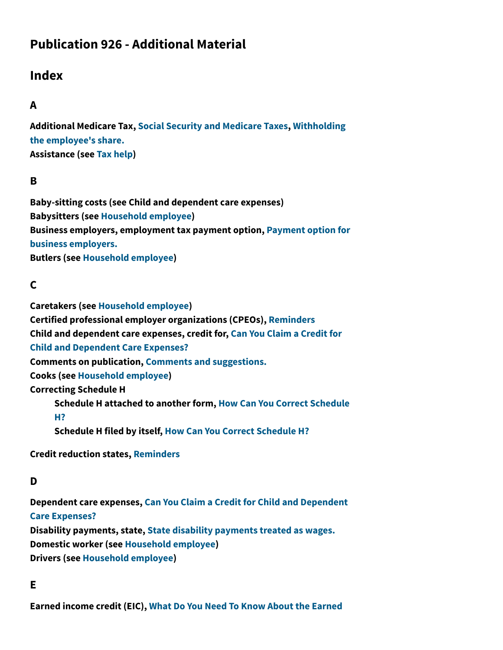## **Publication 926 - Additional Material**

## **Index**

## **A**

**Additional Medicare Tax, [Social Security and Medicare Taxes,](https://www.irs.gov/publications/p926#en_US_2022_publink100086735) [Withholding](https://www.irs.gov/publications/p926#en_US_2022_publink100086741) [the employee's share.](https://www.irs.gov/publications/p926#en_US_2022_publink100086741) Assistance (see [Tax help\)](https://www.irs.gov/publications/p926#ientry-idm140464084267520)**

### **B**

**Baby-sitting costs (see Child and dependent care expenses) Babysitters (see [Household employee](https://www.irs.gov/publications/p926#ientry-idm140464079807648)) Business employers, employment tax payment option, [Payment option for](https://www.irs.gov/publications/p926#en_US_2022_publink100086762) [business employers.](https://www.irs.gov/publications/p926#en_US_2022_publink100086762) Butlers (see [Household employee](https://www.irs.gov/publications/p926#ientry-idm140464079807648))**

### **C**

**Caretakers (see [Household employee\)](https://www.irs.gov/publications/p926#ientry-idm140464079807648) Certified professional employer organizations (CPEOs), [Reminders](https://www.irs.gov/publications/p926#en_US_2022_publink100086718) Child and dependent care expenses, credit for, [Can You Claim a Credit for](https://www.irs.gov/publications/p926#en_US_2022_publink100086780) [Child and Dependent Care Expenses?](https://www.irs.gov/publications/p926#en_US_2022_publink100086780) Comments on publication, [Comments and suggestions.](https://www.irs.gov/publications/p926#en_US_2022_publink100086720) Cooks (see [Household employee](https://www.irs.gov/publications/p926#ientry-idm140464079807648)) Correcting Schedule H Schedule H attached to another form, [How Can You Correct Schedule](https://www.irs.gov/publications/p926#en_US_2022_publink100086781) [H?](https://www.irs.gov/publications/p926#en_US_2022_publink100086781) Schedule H filed by itself, [How Can You Correct Schedule H?](https://www.irs.gov/publications/p926#en_US_2022_publink100086781)**

**Credit reduction states, [Reminders](https://www.irs.gov/publications/p926#en_US_2022_publink100086718)**

### **D**

**Dependent care expenses, [Can You Claim a Credit for Child and Dependent](https://www.irs.gov/publications/p926#en_US_2022_publink100086780) [Care Expenses?](https://www.irs.gov/publications/p926#en_US_2022_publink100086780) Disability payments, state, [State disability payments treated as wages.](https://www.irs.gov/publications/p926#en_US_2022_publink100086739) Domestic worker (see [Household employee](https://www.irs.gov/publications/p926#ientry-idm140464079807648)) Drivers (see [Household employee\)](https://www.irs.gov/publications/p926#ientry-idm140464079807648)**

#### **E**

**Earned income credit (EIC), [What Do You Need To Know About the Earned](https://www.irs.gov/publications/p926#en_US_2022_publink100086755)**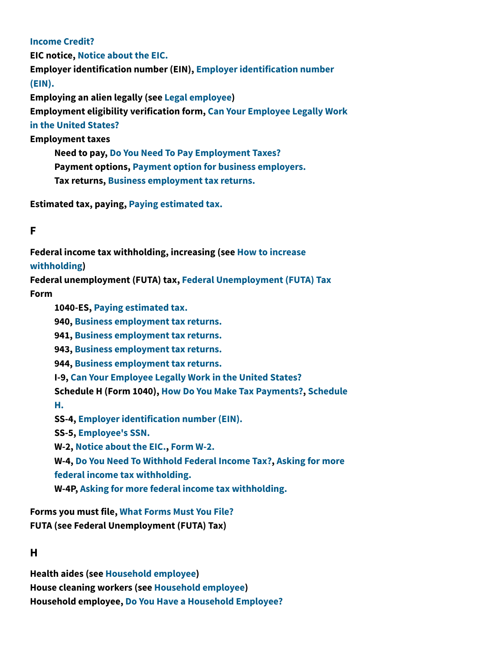#### **[Income Credit?](https://www.irs.gov/publications/p926#en_US_2022_publink100086755)**

**EIC notice, [Notice about the EIC.](https://www.irs.gov/publications/p926#en_US_2022_publink100086757) Employer identification number (EIN), [Employer identification number](https://www.irs.gov/publications/p926#en_US_2022_publink100086766) [\(EIN\).](https://www.irs.gov/publications/p926#en_US_2022_publink100086766) Employing an alien legally (see [Legal employee](https://www.irs.gov/publications/p926#ientry-idm140464084804880))**

**Employment eligibility verification form, [Can Your Employee Legally Work](https://www.irs.gov/publications/p926#en_US_2022_publink100086728)**

#### **[in the United States?](https://www.irs.gov/publications/p926#en_US_2022_publink100086728)**

**Employment taxes**

**Need to pay, [Do You Need To Pay Employment Taxes?](https://www.irs.gov/publications/p926#en_US_2022_publink100086732) Payment options, [Payment option for business employers.](https://www.irs.gov/publications/p926#en_US_2022_publink100086762) Tax returns, [Business employment tax returns.](https://www.irs.gov/publications/p926#en_US_2022_publink100086772)**

**Estimated tax, paying, [Paying estimated tax.](https://www.irs.gov/publications/p926#en_US_2022_publink100086761)**

### **F**

**Federal income tax withholding, increasing (see [How to increase](https://www.irs.gov/publications/p926#ientry-idm140464072026416) [withholding](https://www.irs.gov/publications/p926#ientry-idm140464072026416))**

**Federal unemployment (FUTA) tax, [Federal Unemployment \(FUTA\) Tax](https://www.irs.gov/publications/p926#en_US_2022_publink100086745)**

**Form**

**1040-ES, [Paying estimated tax.](https://www.irs.gov/publications/p926#en_US_2022_publink100086761) 940, [Business employment tax returns.](https://www.irs.gov/publications/p926#en_US_2022_publink100086772) 941, [Business employment tax returns.](https://www.irs.gov/publications/p926#en_US_2022_publink100086772) 943, [Business employment tax returns.](https://www.irs.gov/publications/p926#en_US_2022_publink100086772) 944, [Business employment tax returns.](https://www.irs.gov/publications/p926#en_US_2022_publink100086772) I-9, [Can Your Employee Legally Work in the United States?](https://www.irs.gov/publications/p926#en_US_2022_publink100086728) Schedule H (Form 1040), [How Do You Make Tax Payments?](https://www.irs.gov/publications/p926#en_US_2022_publink100086758), [Schedule](https://www.irs.gov/publications/p926#en_US_2022_publink100086770) [H.](https://www.irs.gov/publications/p926#en_US_2022_publink100086770) SS-4, [Employer identification number \(EIN\).](https://www.irs.gov/publications/p926#en_US_2022_publink100086766) SS-5, [Employee's SSN.](https://www.irs.gov/publications/p926#en_US_2022_publink100086776) W-2, [Notice about the EIC.](https://www.irs.gov/publications/p926#en_US_2022_publink100086757), [Form W-2.](https://www.irs.gov/publications/p926#en_US_2022_publink100086768) W-4, [Do You Need To Withhold Federal Income Tax?,](https://www.irs.gov/publications/p926#en_US_2022_publink100086752) [Asking for more](https://www.irs.gov/publications/p926#en_US_2022_publink100086760) [federal income tax withholding.](https://www.irs.gov/publications/p926#en_US_2022_publink100086760) W-4P, [Asking for more federal income tax withholding.](https://www.irs.gov/publications/p926#en_US_2022_publink100086760)**

**Forms you must file, [What Forms Must You File?](https://www.irs.gov/publications/p926#en_US_2022_publink100086765) FUTA (see Federal Unemployment (FUTA) Tax)**

#### **H**

**Health aides (see [Household employee\)](https://www.irs.gov/publications/p926#ientry-idm140464079807648) House cleaning workers (see [Household employee](https://www.irs.gov/publications/p926#ientry-idm140464079807648)) Household employee, [Do You Have a Household Employee?](https://www.irs.gov/publications/p926#en_US_2022_publink100086722)**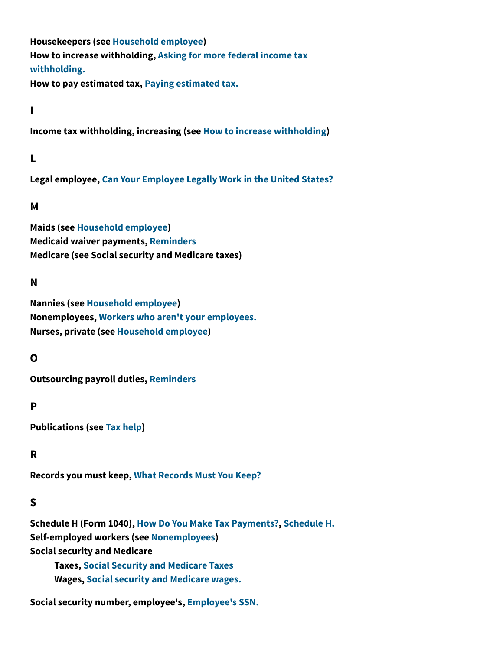**Housekeepers (see [Household employee](https://www.irs.gov/publications/p926#ientry-idm140464079807648)) How to increase withholding, [Asking for more federal income tax](https://www.irs.gov/publications/p926#en_US_2022_publink100086760) [withholding.](https://www.irs.gov/publications/p926#en_US_2022_publink100086760)**

**How to pay estimated tax, [Paying estimated tax.](https://www.irs.gov/publications/p926#en_US_2022_publink100086761)**

**I**

**Income tax withholding, increasing (see [How to increase withholding](https://www.irs.gov/publications/p926#ientry-idm140464072026416))**

### **L**

**Legal employee, [Can Your Employee Legally Work in the United States?](https://www.irs.gov/publications/p926#en_US_2022_publink100086728)**

### **M**

**Maids (see [Household employee\)](https://www.irs.gov/publications/p926#ientry-idm140464079807648) Medicaid waiver payments, [Reminders](https://www.irs.gov/publications/p926#en_US_2022_publink100086718) Medicare (see Social security and Medicare taxes)**

### **N**

**Nannies (see [Household employee\)](https://www.irs.gov/publications/p926#ientry-idm140464079807648) Nonemployees, [Workers who aren't your employees.](https://www.irs.gov/publications/p926#en_US_2022_publink100086725) Nurses, private (see [Household employee\)](https://www.irs.gov/publications/p926#ientry-idm140464079807648)**

### **O**

**Outsourcing payroll duties, [Reminders](https://www.irs.gov/publications/p926#en_US_2022_publink100086718)**

### **P**

**Publications (see [Tax help\)](https://www.irs.gov/publications/p926#ientry-idm140464084267520)**

### **R**

**Records you must keep, [What Records Must You Keep?](https://www.irs.gov/publications/p926#en_US_2022_publink100086773)**

### **S**

**Schedule H (Form 1040), [How Do You Make Tax Payments?](https://www.irs.gov/publications/p926#en_US_2022_publink100086758), [Schedule H.](https://www.irs.gov/publications/p926#en_US_2022_publink100086770) Self-employed workers (see [Nonemployees](https://www.irs.gov/publications/p926#ientry-idm140464066114960)) Social security and Medicare**

**Taxes, [Social Security and Medicare Taxes](https://www.irs.gov/publications/p926#en_US_2022_publink100086735) Wages, [Social security and Medicare wages.](https://www.irs.gov/publications/p926#en_US_2022_publink100086737)**

**Social security number, employee's, [Employee's SSN.](https://www.irs.gov/publications/p926#en_US_2022_publink100086776)**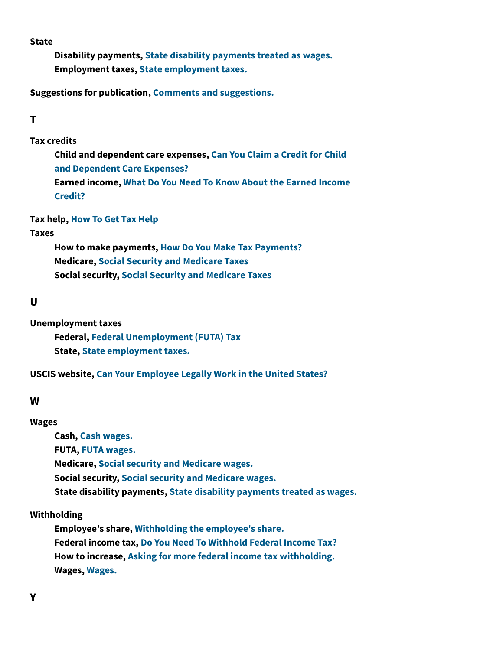**State**

**Disability payments, [State disability payments treated as wages.](https://www.irs.gov/publications/p926#en_US_2022_publink100086739) Employment taxes, [State employment taxes.](https://www.irs.gov/publications/p926#en_US_2022_publink100086734)**

**Suggestions for publication, [Comments and suggestions.](https://www.irs.gov/publications/p926#en_US_2022_publink100086720)**

### **T**

**Tax credits**

**Child and dependent care expenses, [Can You Claim a Credit for Child](https://www.irs.gov/publications/p926#en_US_2022_publink100086780) [and Dependent Care Expenses?](https://www.irs.gov/publications/p926#en_US_2022_publink100086780) Earned income, [What Do You Need To Know About the Earned Income](https://www.irs.gov/publications/p926#en_US_2022_publink100086755) [Credit?](https://www.irs.gov/publications/p926#en_US_2022_publink100086755)**

**Tax help, [How To Get Tax Help](https://www.irs.gov/publications/p926#en_US_2022_publink100091079)**

#### **Taxes**

**How to make payments, [How Do You Make Tax Payments?](https://www.irs.gov/publications/p926#en_US_2022_publink100086758) Medicare, [Social Security and Medicare Taxes](https://www.irs.gov/publications/p926#en_US_2022_publink100086735) Social security, [Social Security and Medicare Taxes](https://www.irs.gov/publications/p926#en_US_2022_publink100086735)**

#### **U**

**Unemployment taxes**

**Federal, [Federal Unemployment \(FUTA\) Tax](https://www.irs.gov/publications/p926#en_US_2022_publink100086745) State, [State employment taxes.](https://www.irs.gov/publications/p926#en_US_2022_publink100086734)**

**USCIS website, [Can Your Employee Legally Work in the United States?](https://www.irs.gov/publications/p926#en_US_2022_publink100086728)**

#### **W**

#### **Wages**

**Cash, [Cash wages.](https://www.irs.gov/publications/p926#en_US_2022_publink100086738) FUTA, [FUTA wages.](https://www.irs.gov/publications/p926#en_US_2022_publink100086747) Medicare, [Social security and Medicare wages.](https://www.irs.gov/publications/p926#en_US_2022_publink100086737) Social security, [Social security and Medicare wages.](https://www.irs.gov/publications/p926#en_US_2022_publink100086737) State disability payments, [State disability payments treated as wages.](https://www.irs.gov/publications/p926#en_US_2022_publink100086739)**

#### **Withholding**

**Employee's share, [Withholding the employee's share.](https://www.irs.gov/publications/p926#en_US_2022_publink100086741) Federal income tax, [Do You Need To Withhold Federal Income Tax?](https://www.irs.gov/publications/p926#en_US_2022_publink100086752) How to increase, [Asking for more federal income tax withholding.](https://www.irs.gov/publications/p926#en_US_2022_publink100086760) Wages, [Wages.](https://www.irs.gov/publications/p926#en_US_2022_publink100086753)**